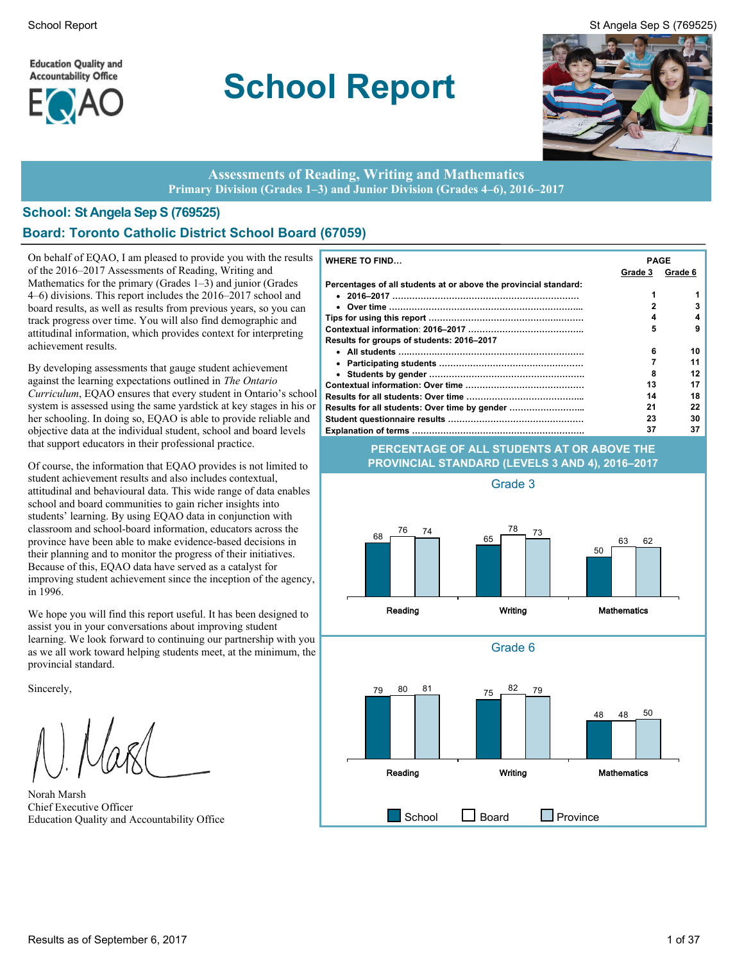**Education Quality and Accountability Office** 



# **School Report**



#### **Assessments of Reading, Writing and Mathematics Primary Division (Grades 1–3) and Junior Division (Grades 4–6), 2016–2017**

#### **School: St Angela Sep S (769525) Board: Toronto Catholic District School Board (67059)**

On behalf of EQAO, I am pleased to provide you with the results of the 2016–2017 Assessments of Reading, Writing and Mathematics for the primary (Grades 1–3) and junior (Grades 4–6) divisions. This report includes the 2016–2017 school and board results, as well as results from previous years, so you can track progress over time. You will also find demographic and attitudinal information, which provides context for interpreting achievement results.

By developing assessments that gauge student achievement against the learning expectations outlined in *The Ontario Curriculum*, EQAO ensures that every student in Ontario's school system is assessed using the same yardstick at key stages in his or her schooling. In doing so, EQAO is able to provide reliable and objective data at the individual student, school and board levels that support educators in their professional practice.

Of course, the information that EQAO provides is not limited to student achievement results and also includes contextual, attitudinal and behavioural data. This wide range of data enables school and board communities to gain richer insights into students' learning. By using EQAO data in conjunction with classroom and school-board information, educators across the province have been able to make evidence-based decisions in their planning and to monitor the progress of their initiatives. Because of this, EQAO data have served as a catalyst for improving student achievement since the inception of the agency, in 1996.

We hope you will find this report useful. It has been designed to assist you in your conversations about improving student learning. We look forward to continuing our partnership with you as we all work toward helping students meet, at the minimum, the provincial standard.

Sincerely,

Norah Marsh Chief Executive Officer

| <b>WHERE TO FIND</b>                                             | <b>PAGE</b>  |         |
|------------------------------------------------------------------|--------------|---------|
|                                                                  | Grade 3      | Grade 6 |
| Percentages of all students at or above the provincial standard: |              |         |
|                                                                  |              |         |
|                                                                  | $\mathbf{2}$ | 3       |
|                                                                  | 4            | 4       |
|                                                                  | 5            | 9       |
| Results for groups of students: 2016–2017                        |              |         |
|                                                                  | 6            | 10      |
|                                                                  |              | 11      |
|                                                                  | 8            | 12      |
|                                                                  | 13           | 17      |
|                                                                  | 14           | 18      |
| Results for all students: Over time by gender                    | 21           | 22      |
|                                                                  | 23           | 30      |
|                                                                  | 37           | 37      |

#### **PERCENTAGE OF ALL STUDENTS AT OR ABOVE THE PROVINCIAL STANDARD (LEVELS 3 AND 4), 2016–2017**

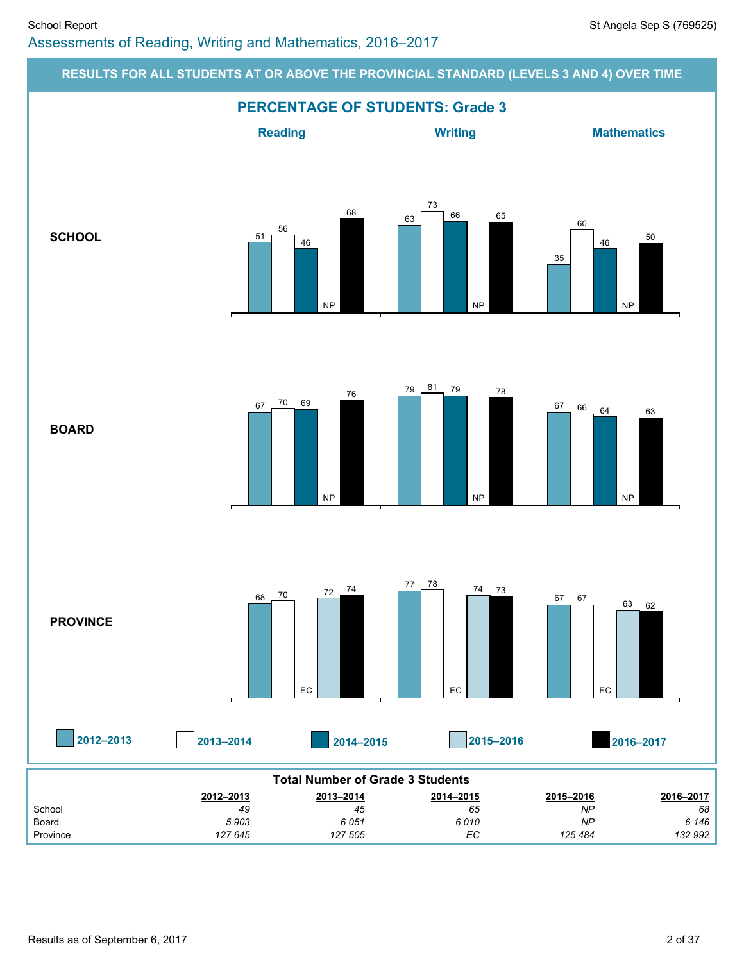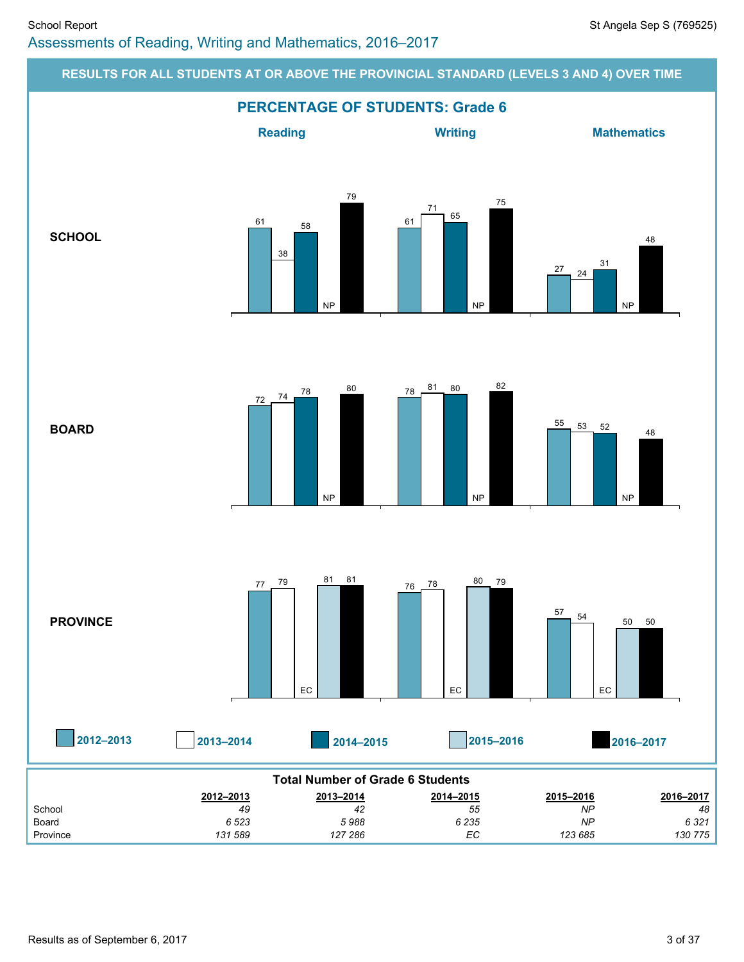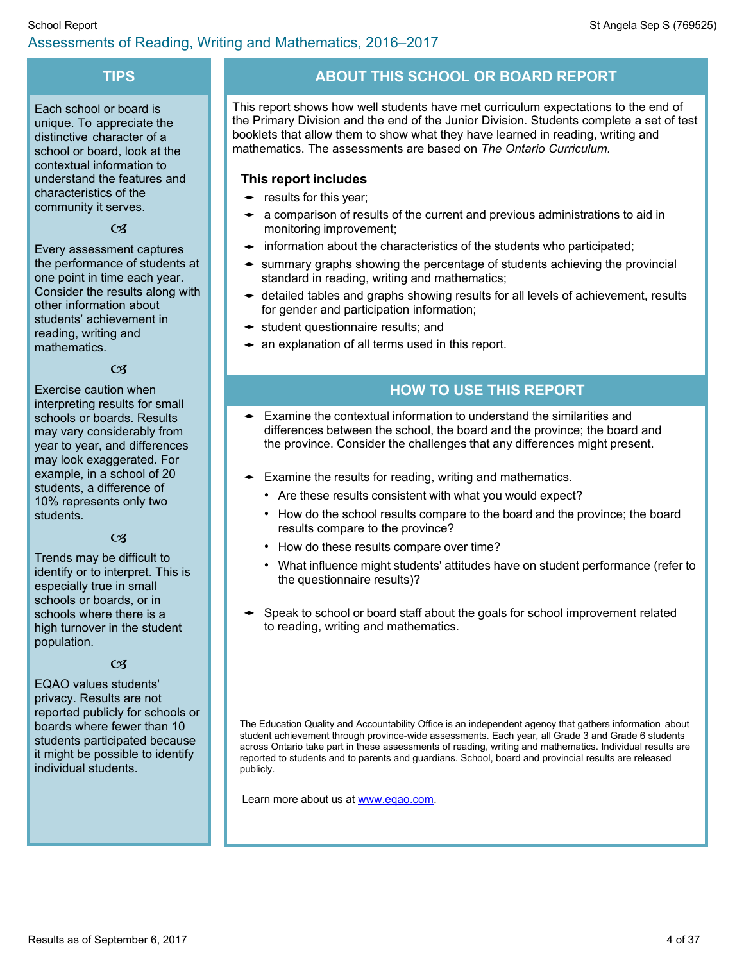### **TIPS**

Each school or board is unique. To appreciate the distinctive character of a school or board, look at the contextual information to understand the features and characteristics of the community it serves.

 $\mathcal{C}$ 

Every assessment captures the performance of students at one point in time each year. Consider the results along with other information about students' achievement in reading, writing and mathematics.

 $\mathfrak{C}$ 

Exercise caution when interpreting results for small schools or boards. Results may vary considerably from year to year, and differences may look exaggerated. For example, in a school of 20 students, a difference of 10% represents only two students.

#### $CZ$

Trends may be difficult to identify or to interpret. This is especially true in small schools or boards, or in schools where there is a high turnover in the student population.

#### $CZ$

EQAO values students' privacy. Results are not reported publicly for schools or boards where fewer than 10 students participated because it might be possible to identify individual students.

# **ABOUT THIS SCHOOL OR BOARD REPORT**

This report shows how well students have met curriculum expectations to the end of the Primary Division and the end of the Junior Division. Students complete a set of test booklets that allow them to show what they have learned in reading, writing and mathematics. The assessments are based on *The Ontario Curriculum.*

#### **This report includes**

- $\leftarrow$  results for this year;
- $\bullet$  a comparison of results of the current and previous administrations to aid in monitoring improvement;
- $\bullet$  information about the characteristics of the students who participated;
- $\bullet$  summary graphs showing the percentage of students achieving the provincial standard in reading, writing and mathematics;
- $\triangleleft$  detailed tables and graphs showing results for all levels of achievement, results for gender and participation information;
- $\bullet$  student questionnaire results; and
- $\bullet$  an explanation of all terms used in this report.

### **HOW TO USE THIS REPORT**

- Examine the contextual information to understand the similarities and differences between the school, the board and the province; the board and the province. Consider the challenges that any differences might present.
- $\bullet$  Examine the results for reading, writing and mathematics.
	- Are these results consistent with what you would expect?
	- How do the school results compare to the board and the province; the board results compare to the province?
	- How do these results compare over time?
	- What influence might students' attitudes have on student performance (refer to the questionnaire results)?
- Speak to school or board staff about the goals for school improvement related to reading, writing and mathematics.

The Education Quality and Accountability Office is an independent agency that gathers information about student achievement through province-wide assessments. Each year, all Grade 3 and Grade 6 students across Ontario take part in these assessments of reading, writing and mathematics. Individual results are reported to students and to parents and guardians. School, board and provincial results are released publicly.

Learn more about us at [www.eqao.com.](http://www.eqao.com/)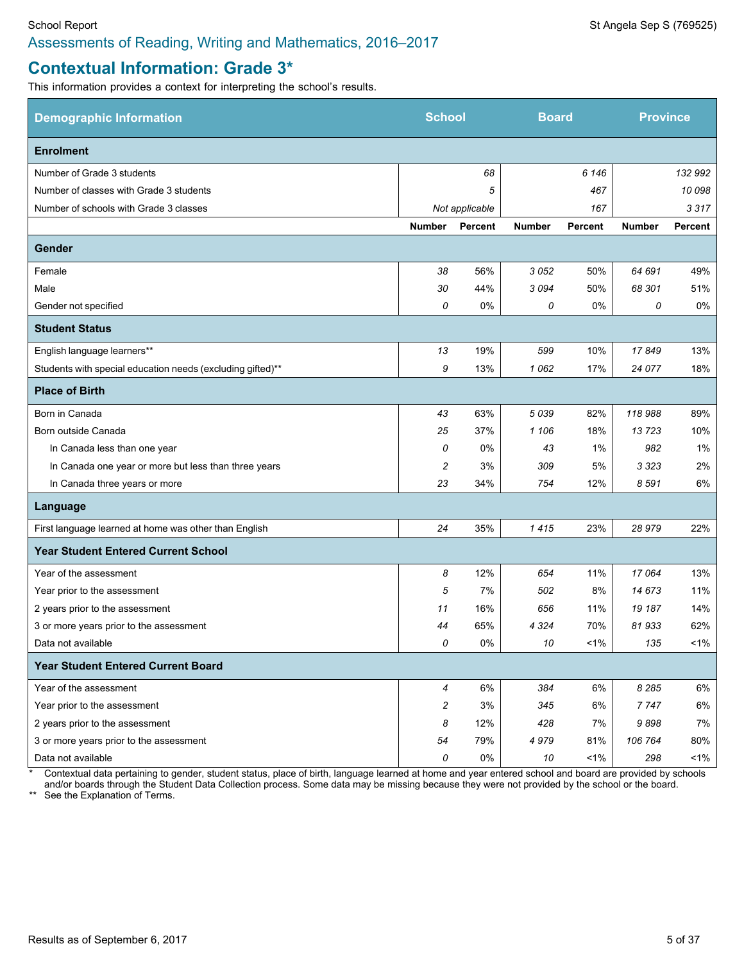# **Contextual Information: Grade 3\***

This information provides a context for interpreting the school's results.

| <b>Demographic Information</b>                             | <b>School</b>  |                | <b>Board</b>  |                | <b>Province</b> |         |
|------------------------------------------------------------|----------------|----------------|---------------|----------------|-----------------|---------|
| <b>Enrolment</b>                                           |                |                |               |                |                 |         |
| Number of Grade 3 students                                 |                | 68             |               | 6 1 4 6        |                 | 132 992 |
| Number of classes with Grade 3 students                    |                | 5              |               | 467            |                 | 10 098  |
| Number of schools with Grade 3 classes                     |                | Not applicable |               | 167            |                 | 3317    |
|                                                            | <b>Number</b>  | <b>Percent</b> | <b>Number</b> | <b>Percent</b> | <b>Number</b>   | Percent |
| Gender                                                     |                |                |               |                |                 |         |
| Female                                                     | 38             | 56%            | 3052          | 50%            | 64 691          | 49%     |
| Male                                                       | 30             | 44%            | 3094          | 50%            | 68 301          | 51%     |
| Gender not specified                                       | 0              | 0%             | 0             | 0%             | 0               | 0%      |
| <b>Student Status</b>                                      |                |                |               |                |                 |         |
| English language learners**                                | 13             | 19%            | 599           | 10%            | 17849           | 13%     |
| Students with special education needs (excluding gifted)** | 9              | 13%            | 1062          | 17%            | 24 077          | 18%     |
| <b>Place of Birth</b>                                      |                |                |               |                |                 |         |
| Born in Canada                                             | 43             | 63%            | 5039          | 82%            | 118988          | 89%     |
| Born outside Canada                                        | 25             | 37%            | 1 106         | 18%            | 13723           | 10%     |
| In Canada less than one year                               | 0              | 0%             | 43            | 1%             | 982             | 1%      |
| In Canada one year or more but less than three years       | 2              | 3%             | 309           | 5%             | 3 323           | 2%      |
| In Canada three years or more                              | 23             | 34%            | 754           | 12%            | 8591            | 6%      |
| Language                                                   |                |                |               |                |                 |         |
| First language learned at home was other than English      | 24             | 35%            | 1415          | 23%            | 28979           | 22%     |
| <b>Year Student Entered Current School</b>                 |                |                |               |                |                 |         |
| Year of the assessment                                     | 8              | 12%            | 654           | 11%            | 17064           | 13%     |
| Year prior to the assessment                               | 5              | 7%             | 502           | 8%             | 14 673          | 11%     |
| 2 years prior to the assessment                            | 11             | 16%            | 656           | 11%            | 19 187          | 14%     |
| 3 or more years prior to the assessment                    | 44             | 65%            | 4 3 2 4       | 70%            | 81933           | 62%     |
| Data not available                                         | 0              | 0%             | 10            | $1\%$          | 135             | $1\%$   |
| <b>Year Student Entered Current Board</b>                  |                |                |               |                |                 |         |
| Year of the assessment                                     | $\overline{4}$ | 6%             | 384           | 6%             | 8 2 8 5         | 6%      |
| Year prior to the assessment                               | 2              | 3%             | 345           | 6%             | 7747            | 6%      |
| 2 years prior to the assessment                            | 8              | 12%            | 428           | 7%             | 9898            | 7%      |
| 3 or more years prior to the assessment                    | 54             | 79%            | 4979          | 81%            | 106 764         | 80%     |
| Data not available                                         | 0              | 0%             | 10            | $1\%$          | 298             | $1\%$   |

\* Contextual data pertaining to gender, student status, place of birth, language learned at home and year entered school and board are provided by schools

and/or boards through the Student Data Collection process. Some data may be missing because they were not provided by the school or the board.

\*\* See the Explanation of Terms.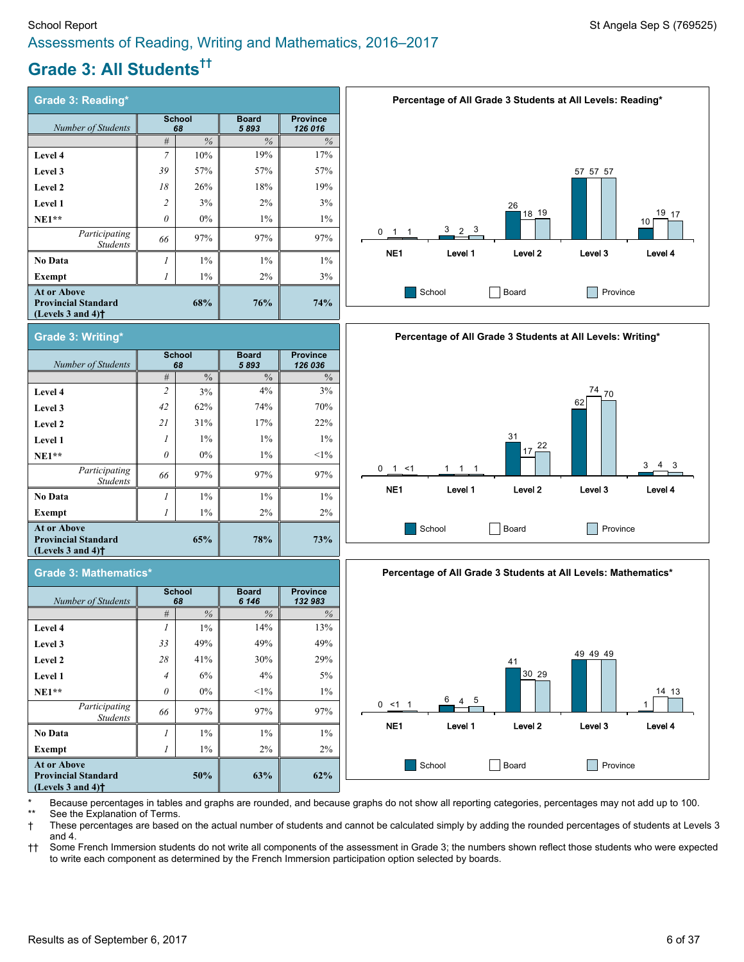# **Grade 3: All Students ††**

| <b>Grade 3: Reading*</b>                                                                                  |                             |       |                      |                            |
|-----------------------------------------------------------------------------------------------------------|-----------------------------|-------|----------------------|----------------------------|
| Number of Students                                                                                        | <b>School</b><br>68         |       | <b>Board</b><br>5893 | <b>Province</b><br>126 016 |
|                                                                                                           | #                           | $\%$  | $\%$                 | $\%$                       |
| Level 4                                                                                                   | 7                           | 10%   | 19%                  | 17%                        |
| Level 3                                                                                                   | 39                          | 57%   | 57%                  | 57%                        |
| Level 2                                                                                                   | 18                          | 26%   | 18%                  | 19%                        |
| <b>Level 1</b>                                                                                            | $\overline{c}$              | 3%    | 2%                   | 3%                         |
| $NE1**$                                                                                                   | $\theta$                    | $0\%$ | $1\%$                | $1\%$                      |
| Participating<br><b>Students</b>                                                                          | 66                          | 97%   | 97%                  | 97%                        |
| No Data                                                                                                   | $\mathcal{I}_{\mathcal{I}}$ | 1%    | $1\%$                | $1\%$                      |
| Exempt                                                                                                    |                             | $1\%$ | $2\%$                | 3%                         |
| <b>At or Above</b><br><b>Provincial Standard</b><br>(Levels $3$ and $4$ ) <sup><math>\dagger</math></sup> |                             | 68%   | 76%                  | 74%                        |



| Grade 3: Mathematics*                                                                                     |                     |               |                       |                            |  |  |  |
|-----------------------------------------------------------------------------------------------------------|---------------------|---------------|-----------------------|----------------------------|--|--|--|
| Number of Students                                                                                        | <b>School</b><br>68 |               | <b>Board</b><br>6 146 | <b>Province</b><br>132 983 |  |  |  |
|                                                                                                           | #                   | $\frac{0}{6}$ | $\%$                  | $\frac{0}{0}$              |  |  |  |
| Level 4                                                                                                   |                     | $1\%$         | 14%                   | 13%                        |  |  |  |
| Level 3                                                                                                   | 33                  | 49%           | 49%                   | 49%                        |  |  |  |
| Level 2                                                                                                   | 28                  | 41%           | 30%                   | 29%                        |  |  |  |
| Level 1                                                                                                   | $\overline{4}$      | 6%            | $4\%$                 | 5%                         |  |  |  |
| $NE1**$                                                                                                   | $\theta$            | $0\%$         | $<1\%$                | $1\%$                      |  |  |  |
| Participating<br><b>Students</b>                                                                          | 66                  | 97%           | 97%                   | 97%                        |  |  |  |
| <b>No Data</b>                                                                                            | 1                   | $1\%$         | $1\%$                 | $1\%$                      |  |  |  |
| Exempt                                                                                                    |                     | $1\%$         | 2%                    | 2%                         |  |  |  |
| <b>At or Above</b><br><b>Provincial Standard</b><br>(Levels $3$ and $4$ ) <sup><math>\dagger</math></sup> |                     | 50%           | 63%                   | 62%                        |  |  |  |







Because percentages in tables and graphs are rounded, and because graphs do not show all reporting categories, percentages may not add up to 100. See the Explanation of Terms.

† These percentages are based on the actual number of students and cannot be calculated simply by adding the rounded percentages of students at Levels 3 and 4.

†† Some French Immersion students do not write all components of the assessment in Grade 3; the numbers shown reflect those students who were expected to write each component as determined by the French Immersion participation option selected by boards.

**(Levels 3 and 4)†**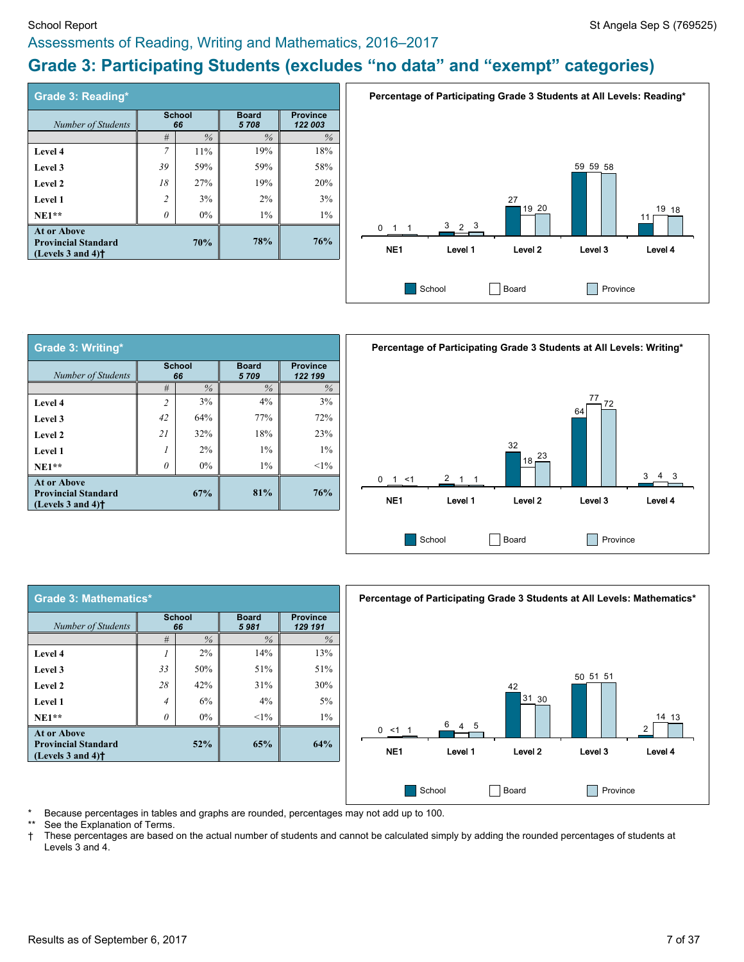#### School Report Standard Sep S (769525) Assessments of Reading, Writing and Mathematics, 2016–2017

# **Grade 3: Participating Students (excludes "no data" and "exempt" categories)**

| Grade 3: Reading*                                                                                         |                     |               |       |       |                      |                            |
|-----------------------------------------------------------------------------------------------------------|---------------------|---------------|-------|-------|----------------------|----------------------------|
| <b>Number of Students</b>                                                                                 | <b>School</b><br>66 |               |       |       | <b>Board</b><br>5708 | <b>Province</b><br>122 003 |
|                                                                                                           | #                   | $\frac{0}{6}$ | $\%$  | $\%$  |                      |                            |
| Level 4                                                                                                   | $\overline{7}$      | 11%           | 19%   | 18%   |                      |                            |
| Level 3                                                                                                   | 39                  | 59%           | 59%   | 58%   |                      |                            |
| Level 2                                                                                                   | 18                  | 27%           | 19%   | 20%   |                      |                            |
| Level 1                                                                                                   | $\overline{c}$      | 3%            | 2%    | 3%    |                      |                            |
| $NE1**$                                                                                                   | $\theta$            | $0\%$         | $1\%$ | $1\%$ |                      |                            |
| <b>At or Above</b><br><b>Provincial Standard</b><br>(Levels $3$ and $4$ ) <sup><math>\dagger</math></sup> |                     | 70%           | 78%   | 76%   |                      |                            |



| <b>Grade 3: Writing*</b>                                                                                  |                     |       |                      |        |
|-----------------------------------------------------------------------------------------------------------|---------------------|-------|----------------------|--------|
| Number of Students                                                                                        | <b>School</b><br>66 |       | <b>Board</b><br>5709 |        |
|                                                                                                           | #                   | $\%$  | $\%$                 | $\%$   |
| Level 4                                                                                                   | $\overline{2}$      | 3%    | $4\%$                | 3%     |
| Level 3                                                                                                   | 42                  | 64%   | 77%                  | 72%    |
| Level 2                                                                                                   | 21                  | 32%   | 18%                  | 23%    |
| Level 1                                                                                                   | 1                   | $2\%$ | $1\%$                | $1\%$  |
| $NE1**$                                                                                                   | $\theta$            | $0\%$ | $1\%$                | $<1\%$ |
| <b>At or Above</b><br><b>Provincial Standard</b><br>(Levels $3$ and $4$ ) <sup><math>\dagger</math></sup> |                     | 67%   | 81%                  | 76%    |



| Grade 3: Mathematics*                                                                                     |                     |               |        |       |  |  |                      |                            |
|-----------------------------------------------------------------------------------------------------------|---------------------|---------------|--------|-------|--|--|----------------------|----------------------------|
| Number of Students                                                                                        | <b>School</b><br>66 |               |        |       |  |  | <b>Board</b><br>5981 | <b>Province</b><br>129 191 |
|                                                                                                           | #                   | $\frac{0}{6}$ | $\%$   | $\%$  |  |  |                      |                            |
| Level 4                                                                                                   |                     | 2%            | 14%    | 13%   |  |  |                      |                            |
| Level 3                                                                                                   | 33                  | 50%           | 51%    | 51%   |  |  |                      |                            |
| Level 2                                                                                                   | 28                  | 42%           | 31%    | 30%   |  |  |                      |                            |
| Level 1                                                                                                   | $\overline{4}$      | 6%            | 4%     | 5%    |  |  |                      |                            |
| $NE1**$                                                                                                   | 0                   | 0%            | $<1\%$ | $1\%$ |  |  |                      |                            |
| <b>At or Above</b><br><b>Provincial Standard</b><br>(Levels $3$ and $4$ ) <sup><math>\dagger</math></sup> |                     | 52%           | 65%    | 64%   |  |  |                      |                            |



Because percentages in tables and graphs are rounded, percentages may not add up to 100.

See the Explanation of Terms.

† These percentages are based on the actual number of students and cannot be calculated simply by adding the rounded percentages of students at Levels 3 and 4.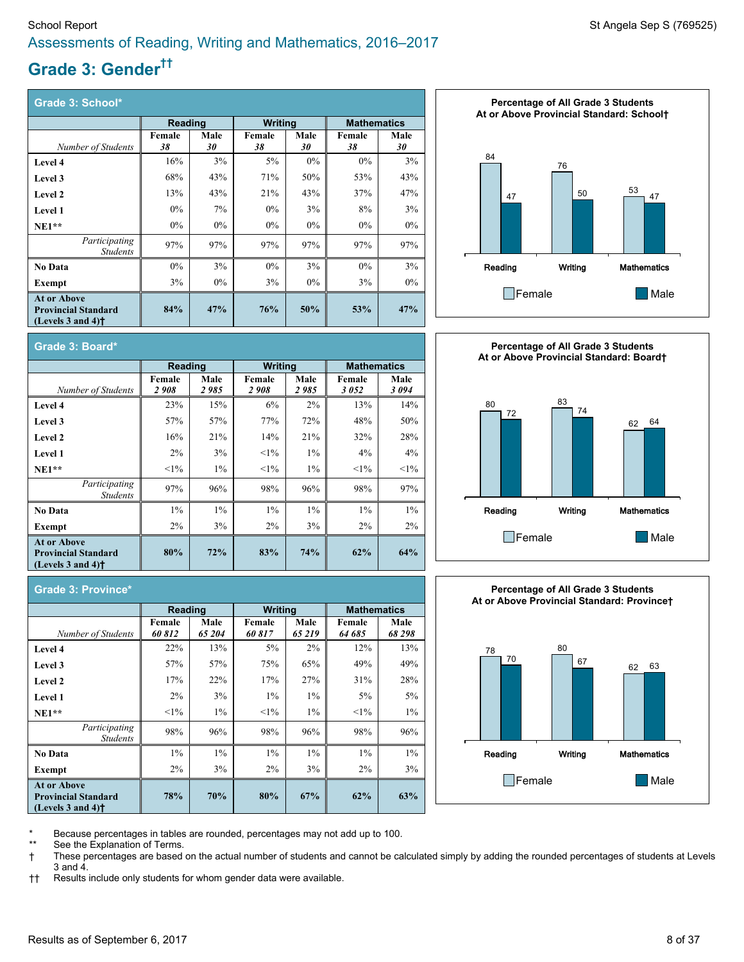# **Grade 3: Gender ††**

| Grade 3: School*                                                                                          |                |            |                |            |                    |            |  |
|-----------------------------------------------------------------------------------------------------------|----------------|------------|----------------|------------|--------------------|------------|--|
|                                                                                                           | <b>Reading</b> |            | <b>Writing</b> |            | <b>Mathematics</b> |            |  |
| Number of Students                                                                                        | Female<br>38   | Male<br>30 | Female<br>38   | Male<br>30 | Female<br>38       | Male<br>30 |  |
| Level 4                                                                                                   | 16%            | 3%         | $5\%$          | $0\%$      | $0\%$              | 3%         |  |
| Level 3                                                                                                   | 68%            | 43%        | 71%            | 50%        | 53%                | 43%        |  |
| Level 2                                                                                                   | 13%            | 43%        | 21%            | 43%        | 37%                | 47%        |  |
| Level 1                                                                                                   | $0\%$          | 7%         | $0\%$          | 3%         | 8%                 | 3%         |  |
| $NE1**$                                                                                                   | $0\%$          | $0\%$      | $0\%$          | $0\%$      | $0\%$              | $0\%$      |  |
| Participating<br><b>Students</b>                                                                          | 97%            | 97%        | 97%            | 97%        | 97%                | 97%        |  |
| <b>No Data</b>                                                                                            | $0\%$          | 3%         | $0\%$          | 3%         | $0\%$              | 3%         |  |
| Exempt                                                                                                    | 3%             | $0\%$      | 3%             | $0\%$      | 3%                 | $0\%$      |  |
| <b>At or Above</b><br><b>Provincial Standard</b><br>(Levels $3$ and $4$ ) <sup><math>\dagger</math></sup> | 84%            | 47%        | 76%            | 50%        | 53%                | 47%        |  |









**Grade 3: Province\***

|                                                                                                           | Reading          |                | <b>Writing</b>   |               | <b>Mathematics</b> |                |  |  |  |
|-----------------------------------------------------------------------------------------------------------|------------------|----------------|------------------|---------------|--------------------|----------------|--|--|--|
| Number of Students                                                                                        | Female<br>60 812 | Male<br>65 204 | Female<br>60 817 | Male<br>65219 | Female<br>64 685   | Male<br>68 298 |  |  |  |
| Level 4                                                                                                   | 22%              | 13%            | 5%               | $2\%$         | 12%                | 13%            |  |  |  |
| Level 3                                                                                                   | 57%              | 57%            | 75%              | 65%           | 49%                | 49%            |  |  |  |
| Level 2                                                                                                   | 17%              | 22%            | 17%              | 27%           | 31%                | 28%            |  |  |  |
| <b>Level 1</b>                                                                                            | $2\%$            | 3%             | $1\%$            | $1\%$         | 5%                 | 5%             |  |  |  |
| $NE1**$                                                                                                   | $<1\%$           | $1\%$          | $<1\%$           | $1\%$         | $<1\%$             | $1\%$          |  |  |  |
| Participating<br><b>Students</b>                                                                          | 98%              | 96%            | 98%              | 96%           | 98%                | 96%            |  |  |  |
| No Data                                                                                                   | $1\%$            | $1\%$          | $1\%$            | $1\%$         | $1\%$              | $1\%$          |  |  |  |
| Exempt                                                                                                    | $2\%$            | 3%             | $2\%$            | 3%            | $2\%$              | 3%             |  |  |  |
| <b>At or Above</b><br><b>Provincial Standard</b><br>(Levels $3$ and $4$ ) <sup><math>\dagger</math></sup> | 78%              | 70%            | 80%              | 67%           | 62%                | 63%            |  |  |  |

Because percentages in tables are rounded, percentages may not add up to 100.

See the Explanation of Terms.

† These percentages are based on the actual number of students and cannot be calculated simply by adding the rounded percentages of students at Levels 3 and 4.

†† Results include only students for whom gender data were available.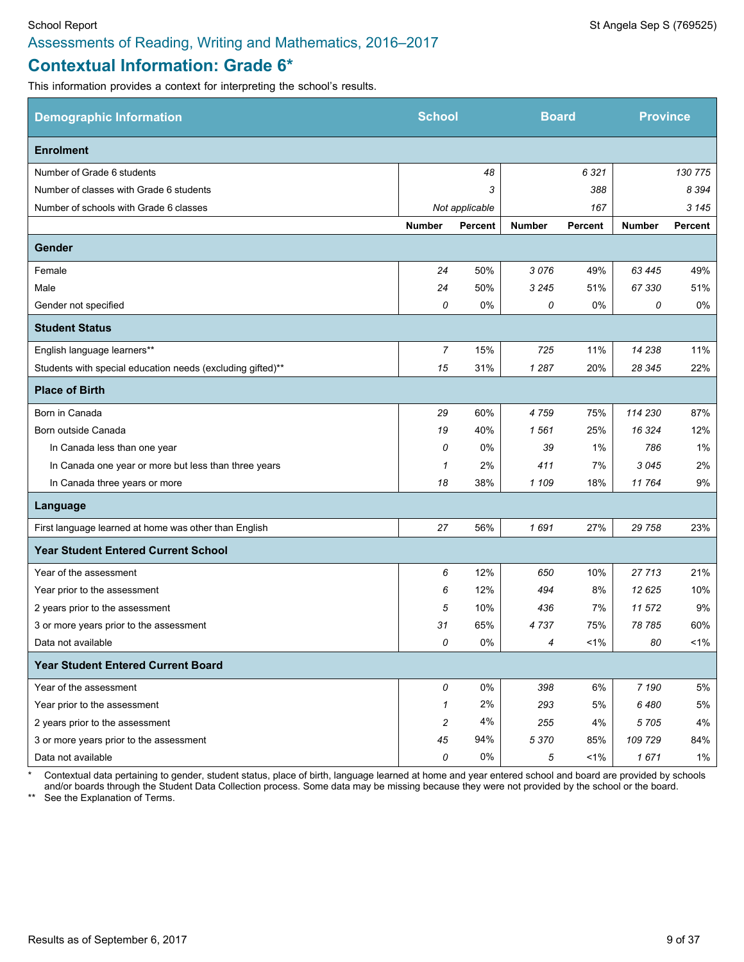# **Contextual Information: Grade 6\***

This information provides a context for interpreting the school's results.

| <b>Demographic Information</b>                             | <b>School</b> |                | <b>Board</b>  |         | <b>Province</b> |                |
|------------------------------------------------------------|---------------|----------------|---------------|---------|-----------------|----------------|
| <b>Enrolment</b>                                           |               |                |               |         |                 |                |
| Number of Grade 6 students                                 |               | 48             |               | 6 3 2 1 |                 | 130 775        |
| Number of classes with Grade 6 students                    |               | 3              |               | 388     |                 | 8 3 9 4        |
| Number of schools with Grade 6 classes                     |               | Not applicable |               | 167     |                 | 3 1 4 5        |
|                                                            | <b>Number</b> | <b>Percent</b> | <b>Number</b> | Percent | <b>Number</b>   | <b>Percent</b> |
| <b>Gender</b>                                              |               |                |               |         |                 |                |
| Female                                                     | 24            | 50%            | 3076          | 49%     | 63 4 45         | 49%            |
| Male                                                       | 24            | 50%            | 3 2 4 5       | 51%     | 67 330          | 51%            |
| Gender not specified                                       | 0             | 0%             | 0             | 0%      | 0               | 0%             |
| <b>Student Status</b>                                      |               |                |               |         |                 |                |
| English language learners**                                | 7             | 15%            | 725           | 11%     | 14 238          | 11%            |
| Students with special education needs (excluding gifted)** | 15            | 31%            | 1 2 8 7       | 20%     | 28 345          | 22%            |
| <b>Place of Birth</b>                                      |               |                |               |         |                 |                |
| Born in Canada                                             | 29            | 60%            | 4759          | 75%     | 114 230         | 87%            |
| Born outside Canada                                        | 19            | 40%            | 1561          | 25%     | 16 3 24         | 12%            |
| In Canada less than one year                               | 0             | 0%             | 39            | 1%      | 786             | 1%             |
| In Canada one year or more but less than three years       | 1             | 2%             | 411           | 7%      | 3045            | 2%             |
| In Canada three years or more                              | 18            | 38%            | 1 1 0 9       | 18%     | 11764           | 9%             |
| Language                                                   |               |                |               |         |                 |                |
| First language learned at home was other than English      | 27            | 56%            | 1691          | 27%     | 29 758          | 23%            |
| <b>Year Student Entered Current School</b>                 |               |                |               |         |                 |                |
| Year of the assessment                                     | 6             | 12%            | 650           | 10%     | 27713           | 21%            |
| Year prior to the assessment                               | 6             | 12%            | 494           | 8%      | 12625           | 10%            |
| 2 years prior to the assessment                            | 5             | 10%            | 436           | 7%      | 11572           | 9%             |
| 3 or more years prior to the assessment                    | 31            | 65%            | 4737          | 75%     | 78785           | 60%            |
| Data not available                                         | 0             | 0%             | 4             | $1\%$   | 80              | $1\%$          |
| <b>Year Student Entered Current Board</b>                  |               |                |               |         |                 |                |
| Year of the assessment                                     | 0             | 0%             | 398           | 6%      | 7 190           | 5%             |
| Year prior to the assessment                               | 1             | 2%             | 293           | 5%      | 6480            | $5\%$          |
| 2 years prior to the assessment                            | 2             | 4%             | 255           | 4%      | 5705            | 4%             |
| 3 or more years prior to the assessment                    | 45            | 94%            | 5 3 7 0       | 85%     | 109 729         | 84%            |
| Data not available                                         | 0             | $0\%$          | 5             | $1\%$   | 1671            | $1\%$          |

Contextual data pertaining to gender, student status, place of birth, language learned at home and year entered school and board are provided by schools and/or boards through the Student Data Collection process. Some data may be missing because they were not provided by the school or the board.

\*\* See the Explanation of Terms.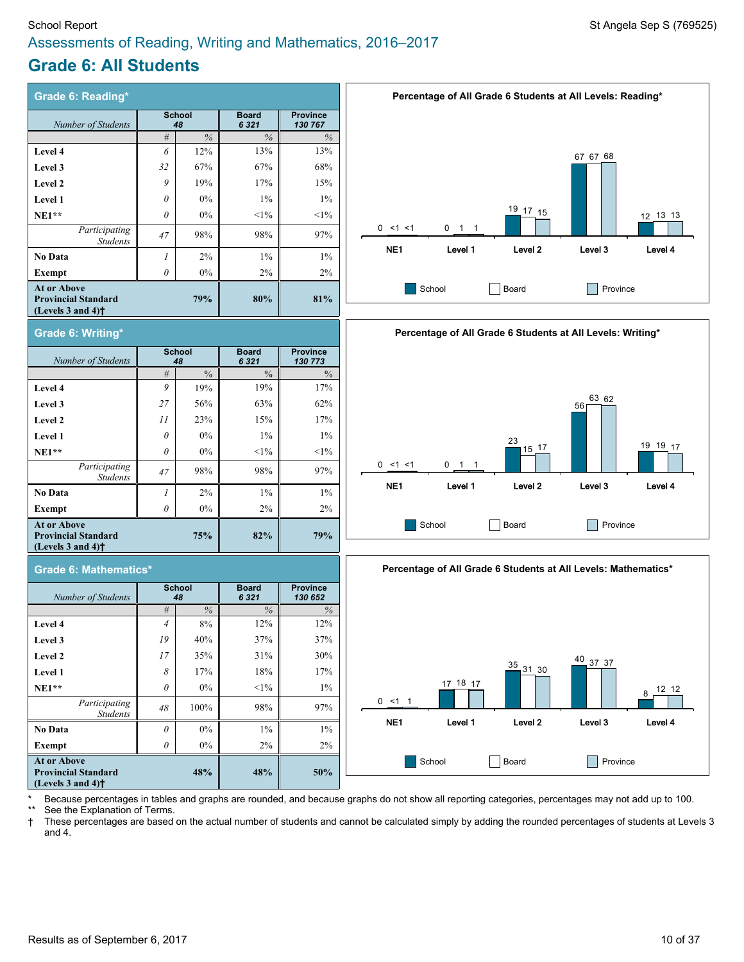#### School Report Standard Sep S (769525) Assessments of Reading, Writing and Mathematics, 2016–2017

# **Grade 6: All Students**

| <b>Grade 6: Reading*</b>                                                                                  |                     |               |                         |                            |  |  |  |
|-----------------------------------------------------------------------------------------------------------|---------------------|---------------|-------------------------|----------------------------|--|--|--|
| Number of Students                                                                                        | <b>School</b><br>48 |               | <b>Board</b><br>6 3 2 1 | <b>Province</b><br>130 767 |  |  |  |
|                                                                                                           | #                   | $\frac{0}{6}$ | $\%$                    | $\%$                       |  |  |  |
| Level 4                                                                                                   | 6                   | 12%           | 13%                     | 13%                        |  |  |  |
| Level 3                                                                                                   | 32                  | 67%           | 67%                     | 68%                        |  |  |  |
| Level 2                                                                                                   | 9                   | 19%           | 17%                     | 15%                        |  |  |  |
| Level 1                                                                                                   | $\theta$            | $0\%$         | $1\%$                   | $1\%$                      |  |  |  |
| $NE1**$                                                                                                   | $\theta$            | $0\%$         | $<1\%$                  | $<1\%$                     |  |  |  |
| Participating<br><b>Students</b>                                                                          | 47                  | 98%           | 98%                     | 97%                        |  |  |  |
| No Data                                                                                                   | $\mathcal{I}$       | $2\%$         | $1\%$                   | $1\%$                      |  |  |  |
| Exempt                                                                                                    | 0                   | $0\%$         | $2\%$                   | $2\%$                      |  |  |  |
| <b>At or Above</b><br><b>Provincial Standard</b><br>(Levels $3$ and $4$ ) <sup><math>\dagger</math></sup> |                     | 79%           | 80%                     | 81%                        |  |  |  |
|                                                                                                           |                     |               |                         |                            |  |  |  |











Because percentages in tables and graphs are rounded, and because graphs do not show all reporting categories, percentages may not add up to 100.

See the Explanation of Terms.

† These percentages are based on the actual number of students and cannot be calculated simply by adding the rounded percentages of students at Levels 3 and 4.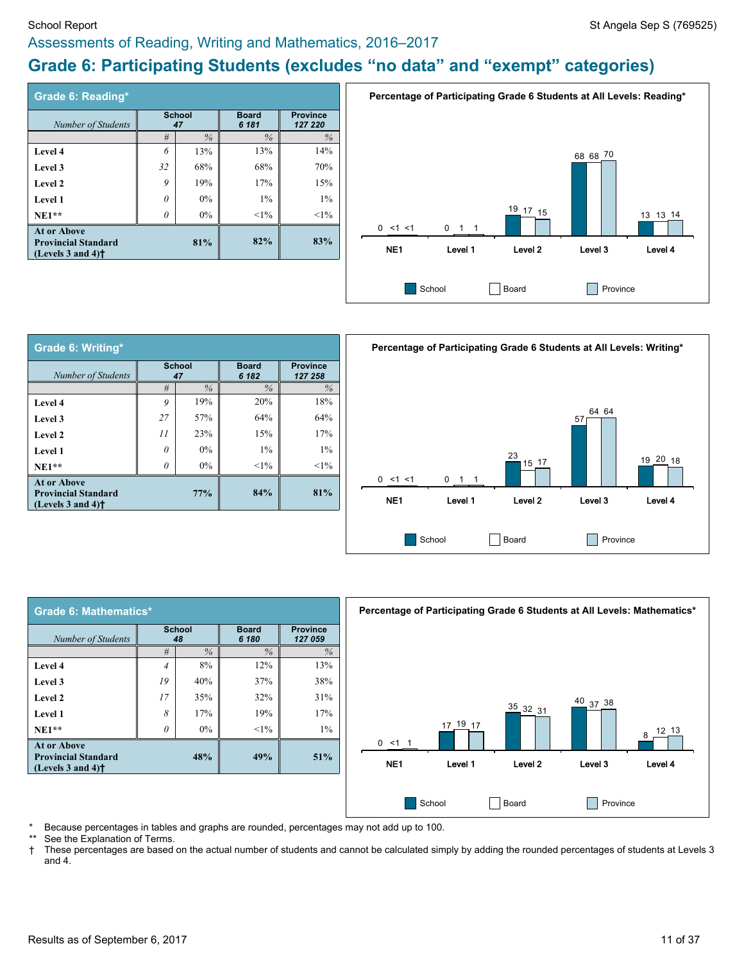# **Grade 6: Participating Students (excludes "no data" and "exempt" categories)**

| Grade 6: Reading*                                                                                         |                     |      |               |        |                       |                            |
|-----------------------------------------------------------------------------------------------------------|---------------------|------|---------------|--------|-----------------------|----------------------------|
| Number of Students                                                                                        | <b>School</b><br>47 |      |               |        | <b>Board</b><br>6 181 | <b>Province</b><br>127 220 |
|                                                                                                           | #                   | $\%$ | $\frac{0}{6}$ | $\%$   |                       |                            |
| <b>Level 4</b>                                                                                            | 6                   | 13%  | 13%           | 14%    |                       |                            |
| Level 3                                                                                                   | 32                  | 68%  | 68%           | 70%    |                       |                            |
| Level 2                                                                                                   | 9                   | 19%  | 17%           | 15%    |                       |                            |
| Level 1                                                                                                   | $\theta$            | 0%   | $1\%$         | $1\%$  |                       |                            |
| $NE1**$                                                                                                   | 0                   | 0%   | $<1\%$        | $<1\%$ |                       |                            |
| <b>At or Above</b><br><b>Provincial Standard</b><br>(Levels $3$ and $4$ ) <sup><math>\dagger</math></sup> |                     | 81%  | 82%           | 83%    |                       |                            |



| Grade 6: Writing*                                                                                         |                     |       |                       |                            |  |  |  |  |
|-----------------------------------------------------------------------------------------------------------|---------------------|-------|-----------------------|----------------------------|--|--|--|--|
| Number of Students                                                                                        | <b>School</b><br>47 |       | <b>Board</b><br>6 182 | <b>Province</b><br>127 258 |  |  |  |  |
|                                                                                                           | #                   | $\%$  | $\%$                  | $\%$                       |  |  |  |  |
| Level 4                                                                                                   | 9                   | 19%   | 20%                   | 18%                        |  |  |  |  |
| Level 3                                                                                                   | 27                  | 57%   | 64%                   | 64%                        |  |  |  |  |
| Level 2                                                                                                   | 11                  | 23%   | 15%                   | 17%                        |  |  |  |  |
| Level 1                                                                                                   | $\theta$            | $0\%$ | $1\%$                 | $1\%$                      |  |  |  |  |
| $NE1**$                                                                                                   | $\theta$            | $0\%$ | $<1\%$                | $<1\%$                     |  |  |  |  |
| <b>At or Above</b><br><b>Provincial Standard</b><br>(Levels $3$ and $4$ ) <sup><math>\dagger</math></sup> |                     | 77%   | 84%                   | 81%                        |  |  |  |  |



| Grade 6: Mathematics*                                                                                     |                |                     |                       |                            |  |  |  |
|-----------------------------------------------------------------------------------------------------------|----------------|---------------------|-----------------------|----------------------------|--|--|--|
| Number of Students                                                                                        |                | <b>School</b><br>48 | <b>Board</b><br>6 180 | <b>Province</b><br>127 059 |  |  |  |
|                                                                                                           | #              | $\frac{0}{6}$       | $\%$                  | $\%$                       |  |  |  |
| Level 4                                                                                                   | $\overline{4}$ | 8%                  | 12%                   | 13%                        |  |  |  |
| Level 3                                                                                                   | 19             | 40%                 | 37%                   | 38%                        |  |  |  |
| Level 2                                                                                                   | 17             | 35%                 | 32%                   | 31%                        |  |  |  |
| Level 1                                                                                                   | 8              | 17%                 | 19%                   | 17%                        |  |  |  |
| $NE1**$                                                                                                   | $\Omega$       | $0\%$               | $<1\%$                | $1\%$                      |  |  |  |
| <b>At or Above</b><br><b>Provincial Standard</b><br>(Levels $3$ and $4$ ) <sup><math>\dagger</math></sup> |                | 48%                 | 49%                   | 51%                        |  |  |  |



\* Because percentages in tables and graphs are rounded, percentages may not add up to 100.

See the Explanation of Terms.

† These percentages are based on the actual number of students and cannot be calculated simply by adding the rounded percentages of students at Levels 3 and 4.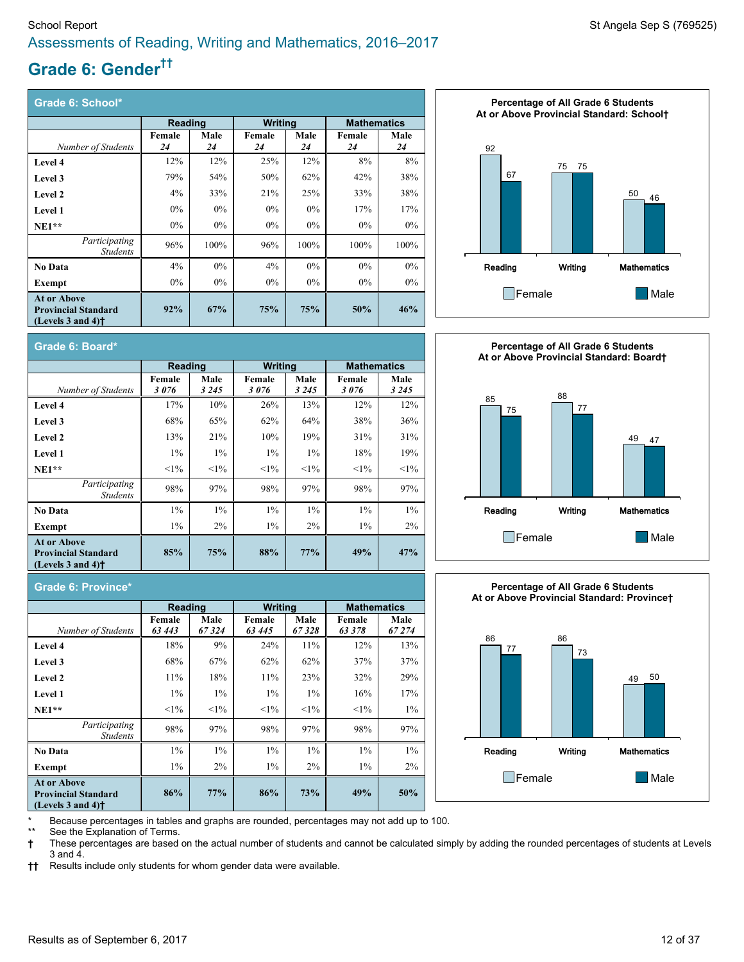# **Grade 6: Gender ††**

| Grade 6: School*                                                                                          |                |       |                |       |                                                                                                                                          |       |  |  |  |
|-----------------------------------------------------------------------------------------------------------|----------------|-------|----------------|-------|------------------------------------------------------------------------------------------------------------------------------------------|-------|--|--|--|
|                                                                                                           | <b>Reading</b> |       | <b>Writing</b> |       | <b>Mathematics</b><br>Female<br>Male<br>24<br>24<br>8%<br>8%<br>38%<br>42%<br>38%<br>33%<br>17%<br>17%<br>$0\%$<br>$0\%$<br>100%<br>100% |       |  |  |  |
|                                                                                                           | Female         | Male  | Female         | Male  |                                                                                                                                          |       |  |  |  |
| Number of Students                                                                                        | 24             | 24    | 24             | 24    |                                                                                                                                          |       |  |  |  |
| Level 4                                                                                                   | 12%            | 12%   | 25%            | 12%   |                                                                                                                                          |       |  |  |  |
| Level 3                                                                                                   | 79%            | 54%   | 50%            | 62%   |                                                                                                                                          |       |  |  |  |
| Level 2                                                                                                   | 4%             | 33%   | 21%            | 25%   |                                                                                                                                          |       |  |  |  |
| <b>Level 1</b>                                                                                            | $0\%$          | $0\%$ | $0\%$          | $0\%$ |                                                                                                                                          |       |  |  |  |
| $NE1**$                                                                                                   | $0\%$          | $0\%$ | $0\%$          | $0\%$ |                                                                                                                                          |       |  |  |  |
| Participating<br><b>Students</b>                                                                          | 96%            | 100%  | 96%            | 100%  |                                                                                                                                          |       |  |  |  |
| <b>No Data</b>                                                                                            | 4%             | $0\%$ | 4%             | $0\%$ | $0\%$                                                                                                                                    | $0\%$ |  |  |  |
| Exempt                                                                                                    | $0\%$          | $0\%$ | $0\%$          | $0\%$ | $0\%$                                                                                                                                    | $0\%$ |  |  |  |
| <b>At or Above</b><br><b>Provincial Standard</b><br>(Levels $3$ and $4$ ) <sup><math>\dagger</math></sup> | 92%            | 67%   | 75%            | 75%   | 50%                                                                                                                                      | 46%   |  |  |  |

**Male** *3 245*

**Level 4** 17% 10% 26% 13% 12% 12% 12% **Level 3 1 58% 65% 62% 64% 38%** 36% **Level 2** 13% 21% 10% 19% 31% 31% **Level 1** 1% 1% 1% 1% 18% 19% **NE1\*\*** <1% <1% <1% <1% <1% <1%

**No Data** 1% 1% 1% 1% 1% 1% **Exempt** 1% 2% 1% 2% 1% 2%

**Reading Writing Mathematics** 

**85% 75% 88% 77% 49% 47%**

**Male** *3 245* **Female** *3 076*

**Male** *3 245*

**Female** *3 076*

*Students* 98% 97% 98% 97% 98% 97%





**Grade 6: Province\***

**At or Above Provincial Standard (Levels 3 and 4)†**

**Grade 6: Board\***

*Number of Students*

*Participating*

**Female** *3 076*

|                                                                                                           | Reading          |               | <b>Writing</b>  |               | <b>Mathematics</b> |                |  |
|-----------------------------------------------------------------------------------------------------------|------------------|---------------|-----------------|---------------|--------------------|----------------|--|
| Number of Students                                                                                        | Female<br>63 443 | Male<br>67324 | Female<br>63445 | Male<br>67328 | Female<br>63378    | Male<br>67 274 |  |
| Level 4                                                                                                   | 18%              | 9%            | 24%             | 11%           | 12%                | 13%            |  |
| Level 3                                                                                                   | 68%              | 67%           | 62%             | 62%           | 37%                | 37%            |  |
| Level 2                                                                                                   | 11%              | 18%           | 11%             | 23%           | 32%                | 29%            |  |
| Level 1                                                                                                   | $1\%$            | $1\%$         | $1\%$           | $1\%$         | 16%                | 17%            |  |
| $NE1**$                                                                                                   | $1\%$            | $1\%$         | $1\%$           | $<1\%$        | $1\%$              | $1\%$          |  |
| Participating<br><b>Students</b>                                                                          | 98%              | 97%           | 98%             | 97%           | 98%                | 97%            |  |
| <b>No Data</b>                                                                                            | $1\%$            | $1\%$         | $1\%$           | $1\%$         | $1\%$              | $1\%$          |  |
| Exempt                                                                                                    | $1\%$            | $2\%$         | $1\%$           | $2\%$         | $1\%$              | $2\%$          |  |
| <b>At or Above</b><br><b>Provincial Standard</b><br>(Levels $3$ and $4$ ) <sup><math>\dagger</math></sup> | 86%              | 77%           | 86%             | 73%           | 49%                | 50%            |  |

**Percentage of All Grade 6 Students At or Above Provincial Standard: Province†**



Because percentages in tables and graphs are rounded, percentages may not add up to 100.

See the Explanation of Terms.

**†** These percentages are based on the actual number of students and cannot be calculated simply by adding the rounded percentages of students at Levels 3 and 4.

**††** Results include only students for whom gender data were available.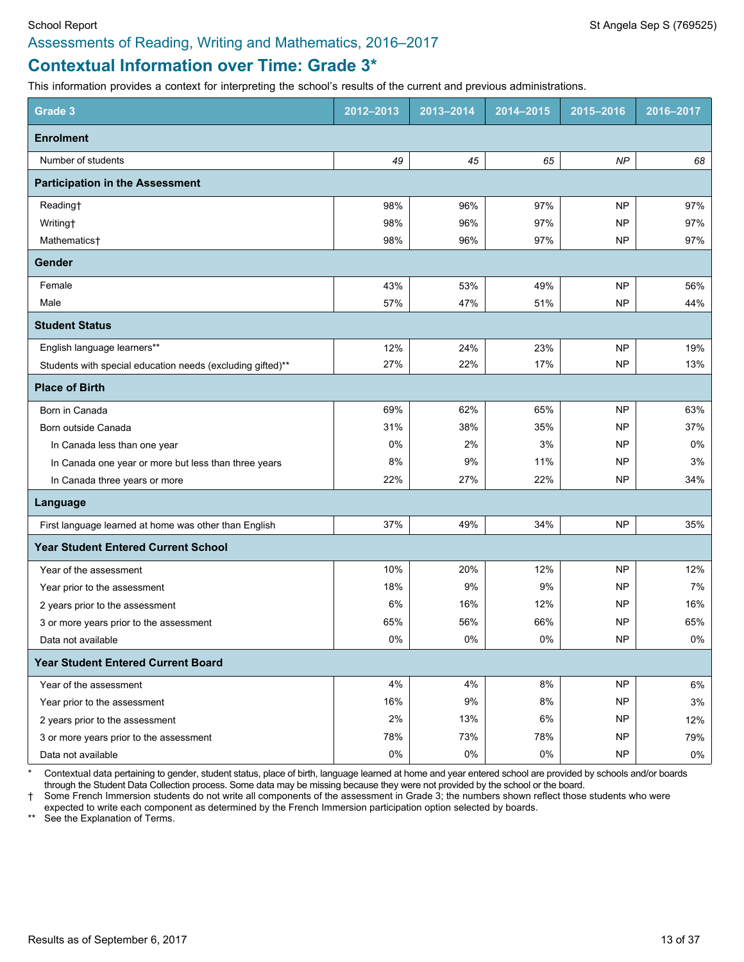# **Contextual Information over Time: Grade 3\***

This information provides a context for interpreting the school's results of the current and previous administrations.

| Grade 3                                                    | 2012-2013 | 2013-2014 | 2014-2015 | 2015-2016 | 2016-2017 |
|------------------------------------------------------------|-----------|-----------|-----------|-----------|-----------|
| <b>Enrolment</b>                                           |           |           |           |           |           |
| Number of students                                         | 49        | 45        | 65        | NP        | 68        |
| <b>Participation in the Assessment</b>                     |           |           |           |           |           |
| Reading†                                                   | 98%       | 96%       | 97%       | <b>NP</b> | 97%       |
| Writing <sup>+</sup>                                       | 98%       | 96%       | 97%       | <b>NP</b> | 97%       |
| Mathematics†                                               | 98%       | 96%       | 97%       | NP        | 97%       |
| Gender                                                     |           |           |           |           |           |
| Female                                                     | 43%       | 53%       | 49%       | <b>NP</b> | 56%       |
| Male                                                       | 57%       | 47%       | 51%       | <b>NP</b> | 44%       |
| <b>Student Status</b>                                      |           |           |           |           |           |
| English language learners**                                | 12%       | 24%       | 23%       | <b>NP</b> | 19%       |
| Students with special education needs (excluding gifted)** | 27%       | 22%       | 17%       | <b>NP</b> | 13%       |
| <b>Place of Birth</b>                                      |           |           |           |           |           |
| Born in Canada                                             | 69%       | 62%       | 65%       | <b>NP</b> | 63%       |
| Born outside Canada                                        | 31%       | 38%       | 35%       | NP        | 37%       |
| In Canada less than one year                               | 0%        | 2%        | 3%        | NP        | 0%        |
| In Canada one year or more but less than three years       | 8%        | 9%        | 11%       | NP        | $3\%$     |
| In Canada three years or more                              | 22%       | 27%       | 22%       | NP        | 34%       |
| Language                                                   |           |           |           |           |           |
| First language learned at home was other than English      | 37%       | 49%       | 34%       | <b>NP</b> | 35%       |
| <b>Year Student Entered Current School</b>                 |           |           |           |           |           |
| Year of the assessment                                     | 10%       | 20%       | 12%       | <b>NP</b> | 12%       |
| Year prior to the assessment                               | 18%       | 9%        | 9%        | NP        | 7%        |
| 2 years prior to the assessment                            | 6%        | 16%       | 12%       | NP        | 16%       |
| 3 or more years prior to the assessment                    | 65%       | 56%       | 66%       | NP        | 65%       |
| Data not available                                         | $0\%$     | 0%        | 0%        | NP        | $0\%$     |
| <b>Year Student Entered Current Board</b>                  |           |           |           |           |           |
| Year of the assessment                                     | 4%        | 4%        | 8%        | <b>NP</b> | 6%        |
| Year prior to the assessment                               | 16%       | 9%        | 8%        | NP        | 3%        |
| 2 years prior to the assessment                            | 2%        | 13%       | 6%        | <b>NP</b> | 12%       |
| 3 or more years prior to the assessment                    | 78%       | 73%       | 78%       | <b>NP</b> | 79%       |
| Data not available                                         | $0\%$     | $0\%$     | $0\%$     | NP        | $0\%$     |

\* Contextual data pertaining to gender, student status, place of birth, language learned at home and year entered school are provided by schools and/or boards through the Student Data Collection process. Some data may be missing because they were not provided by the school or the board.

† Some French Immersion students do not write all components of the assessment in Grade 3; the numbers shown reflect those students who were expected to write each component as determined by the French Immersion participation option selected by boards.

\*\* See the Explanation of Terms.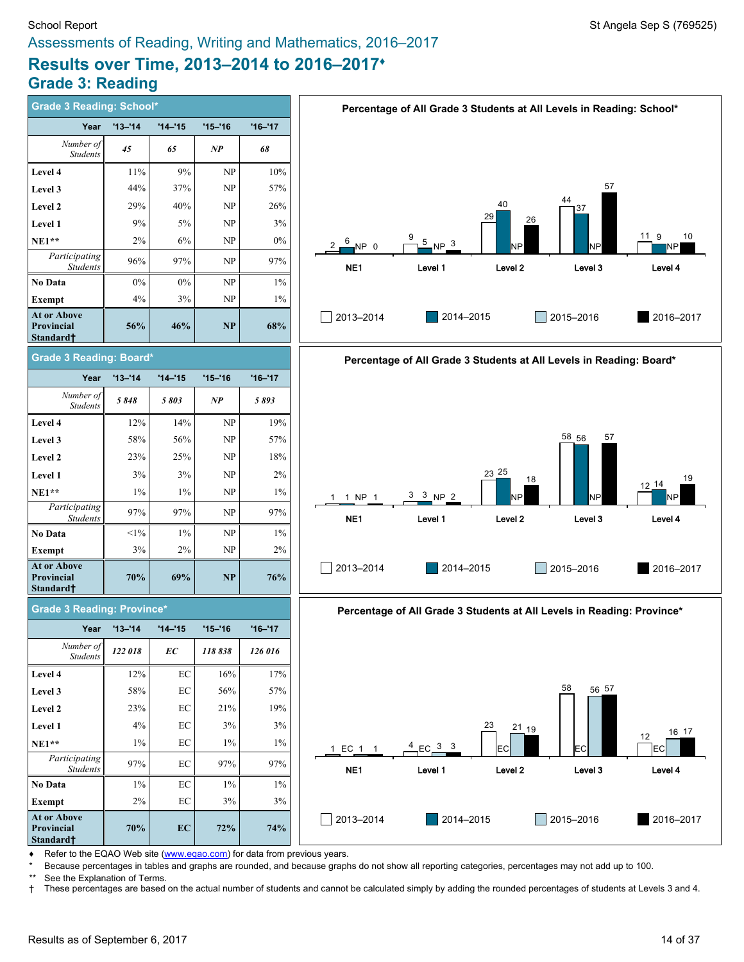# **Results over Time, 2013–2014 to 2016–2017♦ Grade 3: Reading**

**At or Above** Pro **Sta** 

**At or Above** Pro  $\textbf{St}$ 

**At or Above** Pro **Standard†**

| Grade 3 Reading: School*                      |             |             |               |             |                 | Percentage of All Grade 3 Students at All Levels in Reading: School*   |                  |             |                             |
|-----------------------------------------------|-------------|-------------|---------------|-------------|-----------------|------------------------------------------------------------------------|------------------|-------------|-----------------------------|
| Year                                          | $'13 - '14$ | $'14 - '15$ | $'15 - 16$    | $'16 - '17$ |                 |                                                                        |                  |             |                             |
| Number of<br><b>Students</b>                  | 45          | 65          | $\mathbf{NP}$ | 68          |                 |                                                                        |                  |             |                             |
| Level 4                                       | 11%         | $9\%$       | NP            | 10%         |                 |                                                                        |                  |             |                             |
| <b>Level 3</b>                                | 44%         | 37%         | NP            | 57%         |                 |                                                                        |                  | 57          |                             |
| <b>Level 2</b>                                | 29%         | 40%         | NP            | 26%         |                 |                                                                        | 40               | 44<br>37    |                             |
| <b>Level 1</b>                                | 9%          | 5%          | NP            | 3%          |                 |                                                                        | 29<br>26         |             |                             |
| <b>NE1**</b>                                  | 2%          | 6%          | NP            | 0%          | 6<br>NP 0       | 5<br>NP <sup>3</sup>                                                   | NΡ               | NP          | 11 <sub>9</sub><br>10<br>NΡ |
| Participating<br><b>Students</b>              | 96%         | 97%         | NP            | 97%         | NE1             | Level 1                                                                | Level 2          | Level 3     | Level 4                     |
| No Data                                       | 0%          | 0%          | NP            | $1\%$       |                 |                                                                        |                  |             |                             |
| Exempt                                        | 4%          | 3%          | NP            | $1\%$       |                 |                                                                        |                  |             |                             |
| <b>At or Above</b><br>Provincial<br>Standard† | 56%         | 46%         | NP            | 68%         | 2013-2014       | 2014-2015                                                              |                  | 2015-2016   | 2016-2017                   |
| <b>Grade 3 Reading: Board*</b>                |             |             |               |             |                 | Percentage of All Grade 3 Students at All Levels in Reading: Board*    |                  |             |                             |
| Year                                          | $'13 - '14$ | $'14 - 15$  | $'15 - '16$   | $'16 - '17$ |                 |                                                                        |                  |             |                             |
| Number of<br>Students                         | 5848        | 5803        | NP            | 5893        |                 |                                                                        |                  |             |                             |
| <b>Level 4</b>                                | 12%         | 14%         | NP            | 19%         |                 |                                                                        |                  |             |                             |
| <b>Level 3</b>                                | 58%         | 56%         | NP            | 57%         |                 |                                                                        |                  | 58 56<br>57 |                             |
| <b>Level 2</b>                                | 23%         | 25%         | NP            | 18%         |                 |                                                                        |                  |             |                             |
| Level 1                                       | 3%          | 3%          | NP            | 2%          |                 |                                                                        | 23 25<br>18      |             | 19<br>$12^{14}$             |
| NE1**                                         | 1%          | $1\%$       | NP            | 1%          | 1 NP 1          | $3 \t3 NP 2$                                                           | NP               | NΡ          | NP                          |
| Participating<br><b>Students</b>              | 97%         | 97%         | NP            | 97%         | NE <sub>1</sub> | Level 1                                                                | Level 2          | Level 3     | Level 4                     |
| No Data                                       | $<$ 1%      | $1\%$       | NP            | $1\%$       |                 |                                                                        |                  |             |                             |
| Exempt                                        | 3%          | 2%          | NP            | 2%          |                 |                                                                        |                  |             |                             |
| <b>At or Above</b><br>Provincial<br>Standard† | 70%         | 69%         | NP            | 76%         | 2013-2014       | 2014-2015                                                              |                  | 2015-2016   | 2016-2017                   |
| <b>Grade 3 Reading: Province*</b>             |             |             |               |             |                 | Percentage of All Grade 3 Students at All Levels in Reading: Province* |                  |             |                             |
| Year                                          | $'13 - 14$  | $'14 - 15$  | $'15 - '16$   | $'16 - '17$ |                 |                                                                        |                  |             |                             |
| Number of<br>Students                         | 122018      | ЕC          | 118838        | 126 016     |                 |                                                                        |                  |             |                             |
| <b>Level 4</b>                                | 12%         | $\rm EC$    | 16%           | 17%         |                 |                                                                        |                  |             |                             |
| <b>Level 3</b>                                | 58%         | EC          | 56%           | 57%         |                 |                                                                        |                  | 58<br>56 57 |                             |
| <b>Level 2</b>                                | 23%         | EC          | 21%           | 19%         |                 |                                                                        |                  |             |                             |
| <b>Level 1</b>                                | 4%          | EC          | 3%            | 3%          |                 |                                                                        | 23<br>$21_{-19}$ |             | 16 17                       |
| <b>NE1**</b>                                  | $1\%$       | EC          | $1\%$         | 1%          | 1 EC 1 1        | $EC_3^3$ 3                                                             | EC               | <b>EC</b>   | 12<br> EC                   |
| Participating<br><b>Students</b>              | 97%         | EC          | 97%           | 97%         | NE <sub>1</sub> | Level 1                                                                | Level 2          | Level 3     | Level 4                     |
| No Data                                       | $1\%$       | $\rm EC$    | $1\%$         | $1\%$       |                 |                                                                        |                  |             |                             |
| Exempt                                        | 2%          | EC          | 3%            | 3%          |                 |                                                                        |                  |             |                             |
| At or Above<br>Provincial                     | 70%         | EC          | 72%           | 74%         | 2013-2014       | 2014-2015                                                              |                  | 2015-2016   | 2016-2017                   |

♦ Refer to the EQAO Web site [\(www.eqao.com](http://www.eqao.com/)) for data from previous years.

\* Because percentages in tables and graphs are rounded, and because graphs do not show all reporting categories, percentages may not add up to 100.

\*\* See the Explanation of Terms.<br>† These percentages are based † These percentages are based on the actual number of students and cannot be calculated simply by adding the rounded percentages of students at Levels 3 and 4.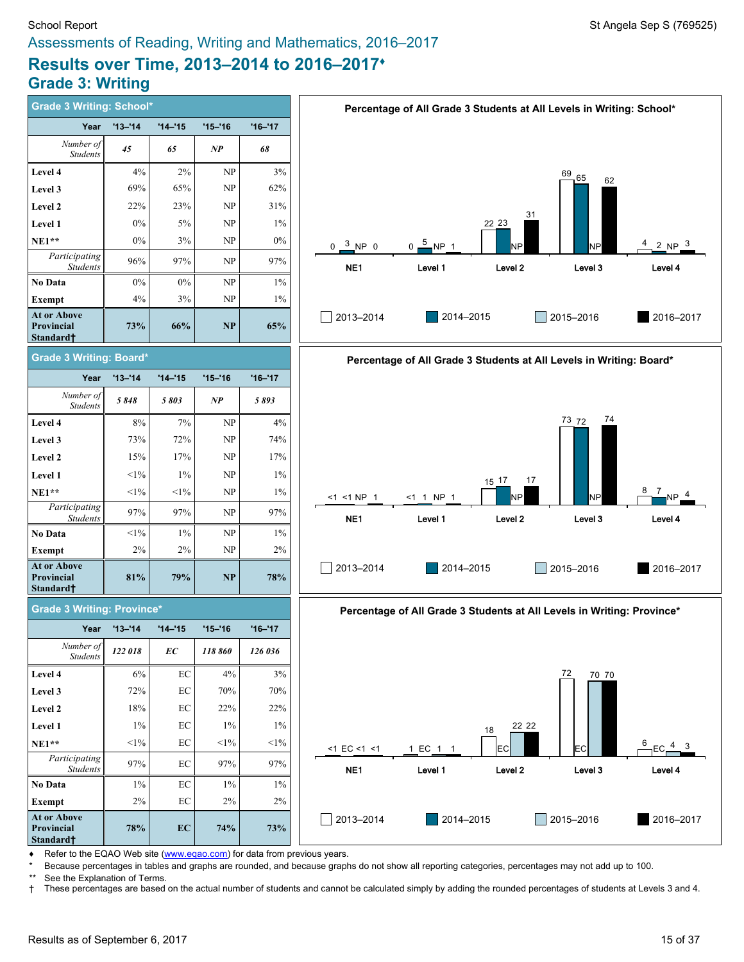# **Results over Time, 2013–2014 to 2016–2017♦ Grade 3: Writing**

| <b>Grade 3 Writing: School*</b>                    |             |                     |             |             |                   |                        |                    | Percentage of All Grade 3 Students at All Levels in Writing: School*   |                                                   |
|----------------------------------------------------|-------------|---------------------|-------------|-------------|-------------------|------------------------|--------------------|------------------------------------------------------------------------|---------------------------------------------------|
| Year                                               | $'13 - '14$ | $'14 - '15$         | $'15 - 16$  | $'16 - '17$ |                   |                        |                    |                                                                        |                                                   |
| Number of<br><b>Students</b>                       | 45          | 65                  | NP          | 68          |                   |                        |                    |                                                                        |                                                   |
| <b>Level 4</b>                                     | 4%          | 2%                  | NP          | 3%          |                   |                        |                    | 69/65                                                                  |                                                   |
| <b>Level 3</b>                                     | 69%         | 65%                 | <b>NP</b>   | 62%         |                   |                        |                    | 62                                                                     |                                                   |
| <b>Level 2</b>                                     | 22%         | 23%                 | NP          | 31%         |                   |                        |                    |                                                                        |                                                   |
| <b>Level 1</b>                                     | 0%          | 5%                  | NP          | $1\%$       |                   |                        | 31<br>22 23        |                                                                        |                                                   |
| NE1**                                              | 0%          | 3%                  | NP          | $0\%$       | $0 \t 3 NP 0$     | $0 - \frac{5}{3}$ NP 1 | NΡ                 | NP                                                                     | 4<br>2 $NP3$                                      |
| Participating<br><b>Students</b>                   | 96%         | 97%                 | NP          | 97%         | NE1               | Level 1                | Level 2            | Level 3                                                                | Level 4                                           |
| No Data                                            | $0\%$       | $0\%$               | NP          | $1\%$       |                   |                        |                    |                                                                        |                                                   |
| Exempt                                             | 4%          | 3%                  | NP          | $1\%$       |                   |                        |                    |                                                                        |                                                   |
| <b>At or Above</b><br>Provincial<br>Standard†      | 73%         | 66%                 | NP          | 65%         | 2013-2014         | 2014-2015              |                    | 2015-2016                                                              | 2016-2017                                         |
| Grade 3 Writing: Board*                            |             |                     |             |             |                   |                        |                    | Percentage of All Grade 3 Students at All Levels in Writing: Board*    |                                                   |
| Year                                               | $'13 - '14$ | $'14 - '15$         | $'15 - '16$ | $'16 - '17$ |                   |                        |                    |                                                                        |                                                   |
| Number of<br>Students                              | 5848        | 5803                | NP          | 5893        |                   |                        |                    |                                                                        |                                                   |
| Level 4                                            | 8%          | 7%                  | NP          | 4%          |                   |                        |                    | 74<br>73 72                                                            |                                                   |
| <b>Level 3</b>                                     | 73%         | 72%                 | <b>NP</b>   | 74%         |                   |                        |                    |                                                                        |                                                   |
| <b>Level 2</b>                                     | 15%         | 17%                 | NP          | 17%         |                   |                        |                    |                                                                        |                                                   |
| Level 1                                            | $<$ 1%      | $1\%$               | <b>NP</b>   | $1\%$       |                   |                        | 17<br>$15 - 17$    |                                                                        |                                                   |
| NE1**                                              | $1\%$       | $<1\%$              | NP          | 1%          | <1 <1 NP 1        | <1 1 NP 1              | NΡ                 | NP                                                                     | 8<br>$\frac{7}{\sqrt{1}}$ NP $\frac{4}{\sqrt{1}}$ |
| Participating<br><b>Students</b>                   | 97%         | 97%                 | NP          | 97%         | NE1               | Level 1                | Level <sub>2</sub> | Level 3                                                                | Level 4                                           |
| No Data                                            | $<1\%$      | $1\%$               | NP          | $1\%$       |                   |                        |                    |                                                                        |                                                   |
| Exempt                                             | 2%          | 2%                  | NP          | 2%          |                   |                        |                    |                                                                        |                                                   |
| At or Above<br>Provincial<br>Standard†             | 81%         | 79%                 | <b>NP</b>   | 78%         | 2013-2014         | 2014-2015              |                    | 2015-2016                                                              | 2016-2017                                         |
| <b>Grade 3 Writing: Province*</b>                  |             |                     |             |             |                   |                        |                    | Percentage of All Grade 3 Students at All Levels in Writing: Province* |                                                   |
| Year                                               | $'13 - '14$ | $'14 - '15$         | $'15 - '16$ | $'16 - '17$ |                   |                        |                    |                                                                        |                                                   |
| Number of<br>Students                              | 122 018     | EC                  | 118 860     | 126 036     |                   |                        |                    |                                                                        |                                                   |
| <b>Level 4</b>                                     | 6%          | $\operatorname{EC}$ | 4%          | 3%          |                   |                        |                    | 72<br>70 70                                                            |                                                   |
| Level 3                                            | 72%         | EC                  | 70%         | 70%         |                   |                        |                    |                                                                        |                                                   |
| <b>Level 2</b>                                     | 18%         | $\operatorname{EC}$ | 22%         | 22%         |                   |                        |                    |                                                                        |                                                   |
| <b>Level 1</b>                                     | $1\%$       | EC                  | 1%          | $1\%$       |                   |                        | 22 22<br>18        |                                                                        |                                                   |
| <b>NE1**</b>                                       | $<1\%$      | $\rm EC$            | $<1\%$      | $<1\%$      | $<1$ EC $<1$ $<1$ | 1 EC 1 1               | EC                 | EС                                                                     | 6                                                 |
| Participating<br><b>Students</b>                   | 97%         | EC                  | 97%         | 97%         | NE1               | Level 1                | Level 2            | Level 3                                                                | Level 4                                           |
| No Data                                            | $1\%$       | $\operatorname{EC}$ | 1%          | $1\%$       |                   |                        |                    |                                                                        |                                                   |
| Exempt                                             | 2%          | $\rm EC$            | 2%          | 2%          |                   |                        |                    |                                                                        |                                                   |
| At or Above<br>Provincial<br>Standard <sup>+</sup> | 78%         | EC                  | 74%         | 73%         | 2013-2014         | 2014-2015              |                    | 2015-2016                                                              | 2016-2017                                         |

◆ Refer to the EQAO Web site [\(www.eqao.com](http://www.eqao.com/)) for data from previous years.

\* Because percentages in tables and graphs are rounded, and because graphs do not show all reporting categories, percentages may not add up to 100.

\*\* See the Explanation of Terms.

**Standard†**

**Standard†**

**Standard†**

† These percentages are based on the actual number of students and cannot be calculated simply by adding the rounded percentages of students at Levels 3 and 4.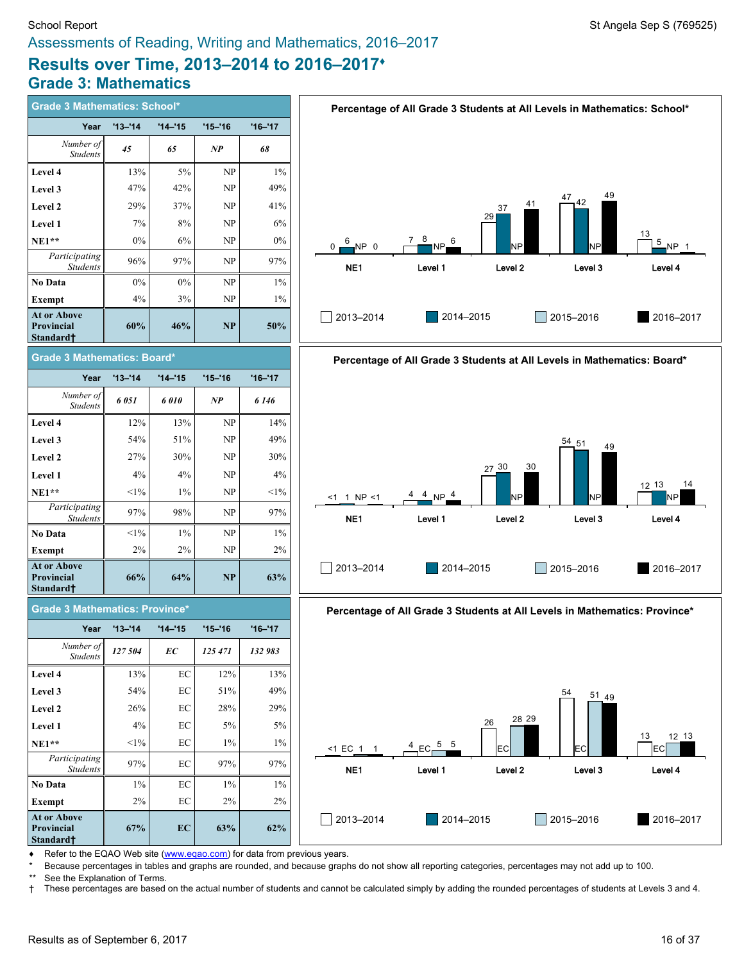# **Results over Time, 2013–2014 to 2016–2017♦ Grade 3: Mathematics**

| <b>Grade 3 Mathematics: School*</b>                         |             |            |             |             |
|-------------------------------------------------------------|-------------|------------|-------------|-------------|
| Year                                                        | $'13 - '14$ | $'14 - 15$ | $'15 - '16$ | $'16 - '17$ |
| Number of<br><b>Students</b>                                | 45          | 65         | NP          | 68          |
| Level 4                                                     | 13%         | 5%         | NP          | $1\%$       |
| Level 3                                                     | 47%         | 42%        | NP          | 49%         |
| Level 2                                                     | 29%         | 37%        | NP          | 41%         |
| Level 1                                                     | 7%          | 8%         | NP          | 6%          |
| $NE1**$                                                     | $0\%$       | 6%         | NP          | $0\%$       |
| Participating<br><b>Students</b>                            | 96%         | 97%        | NP          | 97%         |
| No Data                                                     | $0\%$       | $0\%$      | NP          | $1\%$       |
| Exempt                                                      | 4%          | 3%         | NP          | $1\%$       |
| <b>At or Above</b><br><b>Provincial</b><br>Standard†        | 60%         | 46%        | NP          | 50%         |
| <b>Grade 3 Mathematics: Board*</b>                          |             |            |             |             |
| Year                                                        | $'13 - '14$ | $'14 - 15$ | $'15 - '16$ | $'16 - '17$ |
| Number of<br><b>Students</b>                                | 6 051       | 6010       | NP          | 6 1 4 6     |
| Level 4                                                     | 12%         | 13%        | NP          | 14%         |
| Level 3                                                     | 54%         | 51%        | NP          | 49%         |
| Level 2                                                     | 27%         | 30%        | NP          | 30%         |
| Level 1                                                     | 4%          | 4%         | NP          | 4%          |
| $NE1**$                                                     | $<1\%$      | 1%         | NP          | $<1\%$      |
| Participating<br><b>Students</b>                            | 97%         | 98%        | NP          | 97%         |
| No Data                                                     | $<1\%$      | $1\%$      | NP          | $1\%$       |
| Exempt                                                      | 2%          | 2%         | NP          | 2%          |
| <b>At or Above</b><br><b>Provincial</b><br><b>Standardt</b> | 66%         | 64%        | NP          | 63%         |
| <b>Grade 3 Mathematics: Province*</b>                       |             |            |             |             |
| Year                                                        | $'13 - 14$  | $'14 - 15$ | $'15 - 16$  | $'16 - '17$ |
| .ll<br>Number of<br><b>Students</b>                         | 127 504     | ЕC         | 125 471     | 132 983     |
| Level 4                                                     | 13%         | EC         | 12%         | 13%         |
| Level 3                                                     | 54%         | EC         | 51%         | 49%         |
| Level 2                                                     | 26%         | EC         | 28%         | 29%         |
| Level 1                                                     | 4%          | EC         | 5%          | 5%          |
| $NE1**$                                                     | $<1\%$      | EС         | $1\%$       | $1\%$       |
| Participating<br><b>Students</b>                            | 97%         | EC         | 97%         | 97%         |
| No Data                                                     | $1\%$       | EС         | $1\%$       | $1\%$       |
| <b>Exempt</b>                                               | 2%          | EС         | 2%          | 2%          |
| <b>At or Above</b><br>Provincial                            | 67%         | EC         | 63%         | 62%         |





**Percentage of All Grade 3 Students at All Levels in Mathematics: Province\***



Refer to the EQAO Web site [\(www.eqao.com](http://www.eqao.com/)) for data from previous years.

\* Because percentages in tables and graphs are rounded, and because graphs do not show all reporting categories, percentages may not add up to 100.

**Standard†**

\*\* See the Explanation of Terms.<br>† These percentages are based † These percentages are based on the actual number of students and cannot be calculated simply by adding the rounded percentages of students at Levels 3 and 4.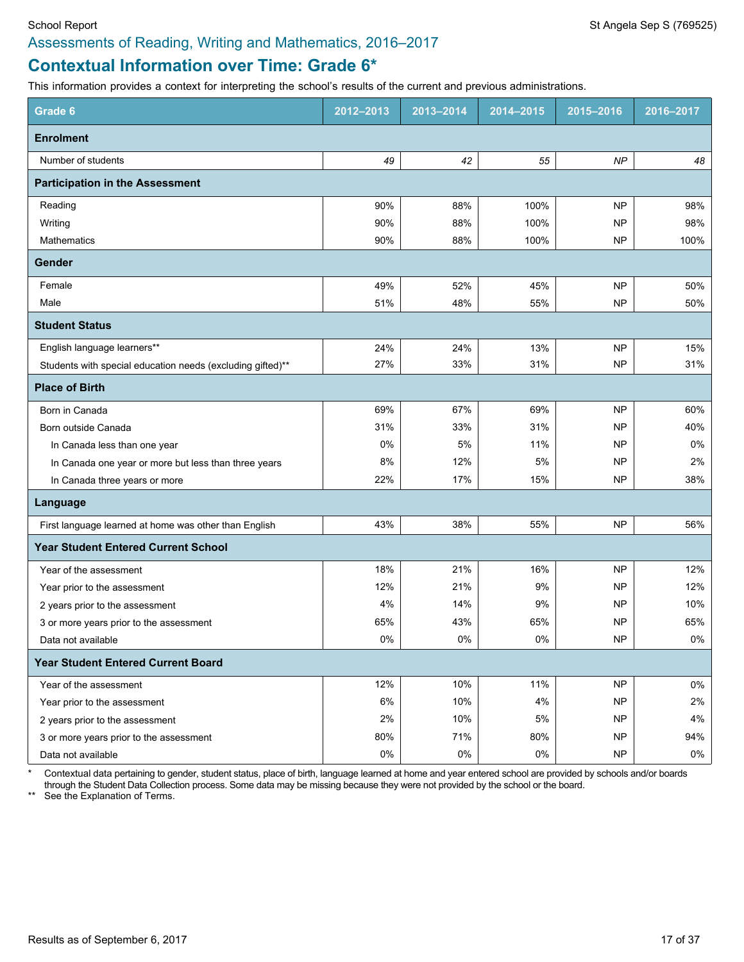# **Contextual Information over Time: Grade 6\***

This information provides a context for interpreting the school's results of the current and previous administrations.

| Grade 6                                                    | 2012-2013 | 2013-2014 | 2014-2015 | 2015-2016 | 2016-2017 |
|------------------------------------------------------------|-----------|-----------|-----------|-----------|-----------|
| <b>Enrolment</b>                                           |           |           |           |           |           |
| Number of students                                         | 49        | 42        | 55        | NP        | 48        |
| <b>Participation in the Assessment</b>                     |           |           |           |           |           |
| Reading                                                    | 90%       | 88%       | 100%      | <b>NP</b> | 98%       |
| Writing                                                    | 90%       | 88%       | 100%      | <b>NP</b> | 98%       |
| <b>Mathematics</b>                                         | 90%       | 88%       | 100%      | <b>NP</b> | 100%      |
| Gender                                                     |           |           |           |           |           |
| Female                                                     | 49%       | 52%       | 45%       | <b>NP</b> | 50%       |
| Male                                                       | 51%       | 48%       | 55%       | <b>NP</b> | 50%       |
| <b>Student Status</b>                                      |           |           |           |           |           |
| English language learners**                                | 24%       | 24%       | 13%       | <b>NP</b> | 15%       |
| Students with special education needs (excluding gifted)** | 27%       | 33%       | 31%       | <b>NP</b> | 31%       |
| <b>Place of Birth</b>                                      |           |           |           |           |           |
| Born in Canada                                             | 69%       | 67%       | 69%       | <b>NP</b> | 60%       |
| Born outside Canada                                        | 31%       | 33%       | 31%       | <b>NP</b> | 40%       |
| In Canada less than one year                               | 0%        | 5%        | 11%       | <b>NP</b> | 0%        |
| In Canada one year or more but less than three years       | 8%        | 12%       | 5%        | <b>NP</b> | 2%        |
| In Canada three years or more                              | 22%       | 17%       | 15%       | <b>NP</b> | 38%       |
| Language                                                   |           |           |           |           |           |
| First language learned at home was other than English      | 43%       | 38%       | 55%       | <b>NP</b> | 56%       |
| <b>Year Student Entered Current School</b>                 |           |           |           |           |           |
| Year of the assessment                                     | 18%       | 21%       | 16%       | <b>NP</b> | 12%       |
| Year prior to the assessment                               | 12%       | 21%       | 9%        | <b>NP</b> | 12%       |
| 2 years prior to the assessment                            | 4%        | 14%       | 9%        | <b>NP</b> | 10%       |
| 3 or more years prior to the assessment                    | 65%       | 43%       | 65%       | NP        | 65%       |
| Data not available                                         | $0\%$     | $0\%$     | 0%        | NP        | 0%        |
| <b>Year Student Entered Current Board</b>                  |           |           |           |           |           |
| Year of the assessment                                     | 12%       | 10%       | 11%       | <b>NP</b> | $0\%$     |
| Year prior to the assessment                               | 6%        | 10%       | 4%        | <b>NP</b> | 2%        |
| 2 years prior to the assessment                            | $2\%$     | 10%       | 5%        | <b>NP</b> | $4\%$     |
| 3 or more years prior to the assessment                    | 80%       | 71%       | 80%       | <b>NP</b> | 94%       |
| Data not available                                         | $0\%$     | $0\%$     | $0\%$     | <b>NP</b> | $0\%$     |

\* Contextual data pertaining to gender, student status, place of birth, language learned at home and year entered school are provided by schools and/or boards through the Student Data Collection process. Some data may be missing because they were not provided by the school or the board.

\*\* See the Explanation of Terms.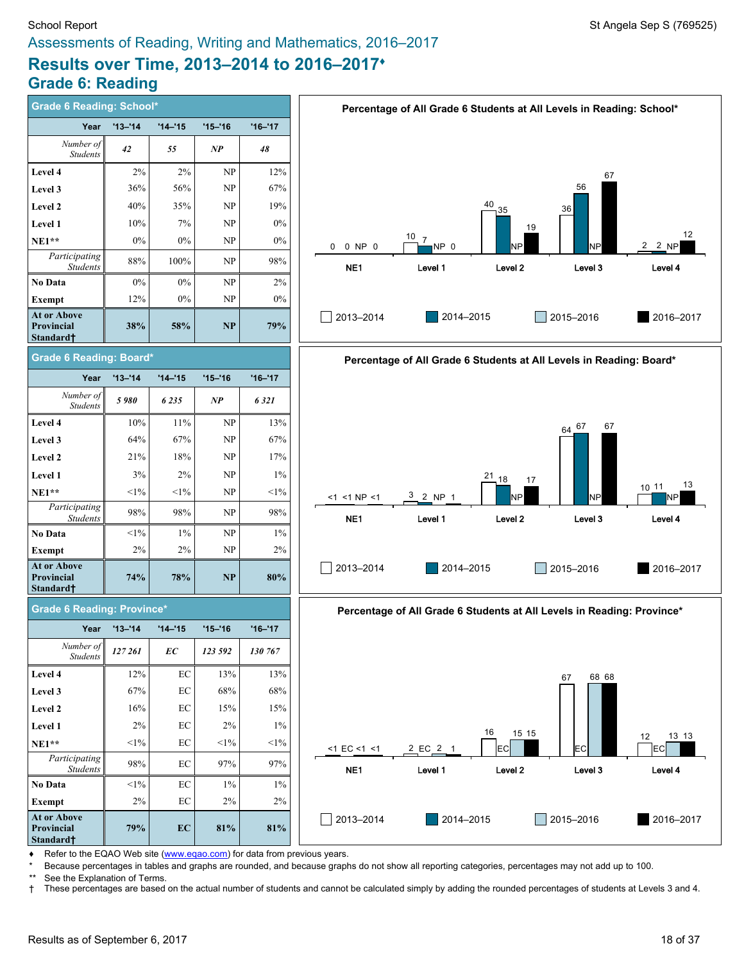# School Report School Report St Angela Sep S (769525) Assessments of Reading, Writing and Mathematics, 2016–2017

# **Results over Time, 2013–2014 to 2016–2017♦ Grade 6: Reading**

| <b>Grade 6 Reading: School*</b>               |             |             |                                 |             | Percentage of All Grade 6 Students at All Levels in Reading: School*              |
|-----------------------------------------------|-------------|-------------|---------------------------------|-------------|-----------------------------------------------------------------------------------|
| Year                                          | $'13 - '14$ | $'14 - '15$ | $'15 - '16$                     | $'16 - '17$ |                                                                                   |
| Number of<br><b>Students</b>                  | 42          | 55          | NP                              | 48          |                                                                                   |
| Level 4                                       | 2%          | $2\%$       | NP                              | 12%         | 67                                                                                |
| Level 3                                       | 36%         | 56%         | NP                              | 67%         | 56                                                                                |
| <b>Level 2</b>                                | 40%         | 35%         | NP                              | 19%         | 40<br>35<br>36                                                                    |
| Level 1                                       | 10%         | 7%          | NP                              | 0%          | 19                                                                                |
| $NE1**$                                       | 0%          | 0%          | NP                              | $0\%$       | 12<br>$10 \overline{z}$ 7<br>2 2 NP<br>NP <sub>0</sub><br>0 NP 0<br>NP<br>0<br>NP |
| Participating<br><b>Students</b>              | 88%         | 100%        | NP                              | 98%         | NE1<br>Level 1<br>Level <sub>2</sub><br>Level 3<br>Level 4                        |
| No Data                                       | 0%          | $0\%$       | NP                              | 2%          |                                                                                   |
| Exempt                                        | 12%         | 0%          | NP                              | $0\%$       |                                                                                   |
| At or Above<br>Provincial<br>Standard†        | 38%         | 58%         | NP                              | 79%         | 2013-2014<br>2014-2015<br>2015-2016<br>2016-2017                                  |
| <b>Grade 6 Reading: Board*</b>                |             |             |                                 |             | Percentage of All Grade 6 Students at All Levels in Reading: Board*               |
| Year                                          | $'13 - '14$ | $'14 - 15$  | $'15 - '16$                     | $'16 - '17$ |                                                                                   |
| Number of<br><b>Students</b>                  | 5980        | 6 2 3 5     | NP                              | 6321        |                                                                                   |
| Level 4                                       | $10\%$      | $11\%$      | $\ensuremath{\text{NP}}\xspace$ | 13%         | 67<br>$64^{67}$                                                                   |
| Level 3                                       | 64%         | 67%         | NP                              | 67%         |                                                                                   |
| Level 2                                       | 21%         | 18%         | NP                              | 17%         |                                                                                   |
| Level 1                                       | 3%          | 2%          | NP                              | $1\%$       | $21_{-18}$<br>17                                                                  |
| $NE1**$                                       | $<1\%$      | $<1\%$      | NP                              | $<1\%$      | 13<br>10 11<br>$3$ 2 NP 1<br>$<1$ <1 NP <1<br>NP<br><b>NP</b><br>NΡ               |
| Participating<br>Students                     | 98%         | 98%         | NP                              | 98%         | NE <sub>1</sub><br>Level 1<br>Level <sub>2</sub><br>Level 3<br>Level 4            |
| No Data                                       | $<1\%$      | $1\%$       | NP                              | $1\%$       |                                                                                   |
| Exempt                                        | 2%          | 2%          | NP                              | $2\%$       |                                                                                   |
| <b>At or Above</b><br>Provincial<br>Standard† | 74%         | 78%         | <b>NP</b>                       | 80%         | 2013-2014<br>2014-2015<br>2015-2016<br>2016-2017                                  |
| <b>Grade 6 Reading: Province*</b>             |             |             |                                 |             | Percentage of All Grade 6 Students at All Levels in Reading: Province*            |
| Year                                          | $'13 - 14$  | $'14 - 15$  | $'15 - '16$                     | $'16 - '17$ |                                                                                   |
| Number of<br><b>Students</b>                  | 127 261     | ЕC          | 123 592                         | 130 767     |                                                                                   |
| Level 4                                       | 12%         | EC          | 13%                             | 13%         | 68 68<br>67                                                                       |
| Level 3                                       | 67%         | EC          | 68%                             | 68%         |                                                                                   |
| Level 2                                       | 16%         | EC          | 15%                             | 15%         |                                                                                   |
| Level 1                                       | 2%          | EC          | 2%                              | $1\%$       | 16<br>15 15                                                                       |
| $NE1**$                                       | $<1\%$      | EC          | $<1\%$                          | $<1\%$      | 13 13<br>12<br>2 EC 2 1<br>ECI<br>$<$ 1 EC $<$ 1 $<$ 1<br>EC<br>EC                |
| Participating<br><b>Students</b>              | $98\%$      | EC          | 97%                             | 97%         | Level 2<br>NE <sub>1</sub><br>Level 1<br>Level 3<br>Level 4                       |
| <b>No Data</b>                                | $<1\%$      | EC          | $1\%$                           | $1\%$       |                                                                                   |
| Exempt                                        | 2%          | EC          | 2%                              | 2%          |                                                                                   |
| At or Above<br>Provincial<br>Standard†        | 79%         | EC          | 81%                             | 81%         | 2013-2014<br>2014-2015<br>2015-2016<br>2016-2017                                  |

◆ Refer to the EQAO Web site [\(www.eqao.com](http://www.eqao.com/)) for data from previous years.

\* Because percentages in tables and graphs are rounded, and because graphs do not show all reporting categories, percentages may not add up to 100.

\*\* See the Explanation of Terms.<br>† These percentages are based † These percentages are based on the actual number of students and cannot be calculated simply by adding the rounded percentages of students at Levels 3 and 4.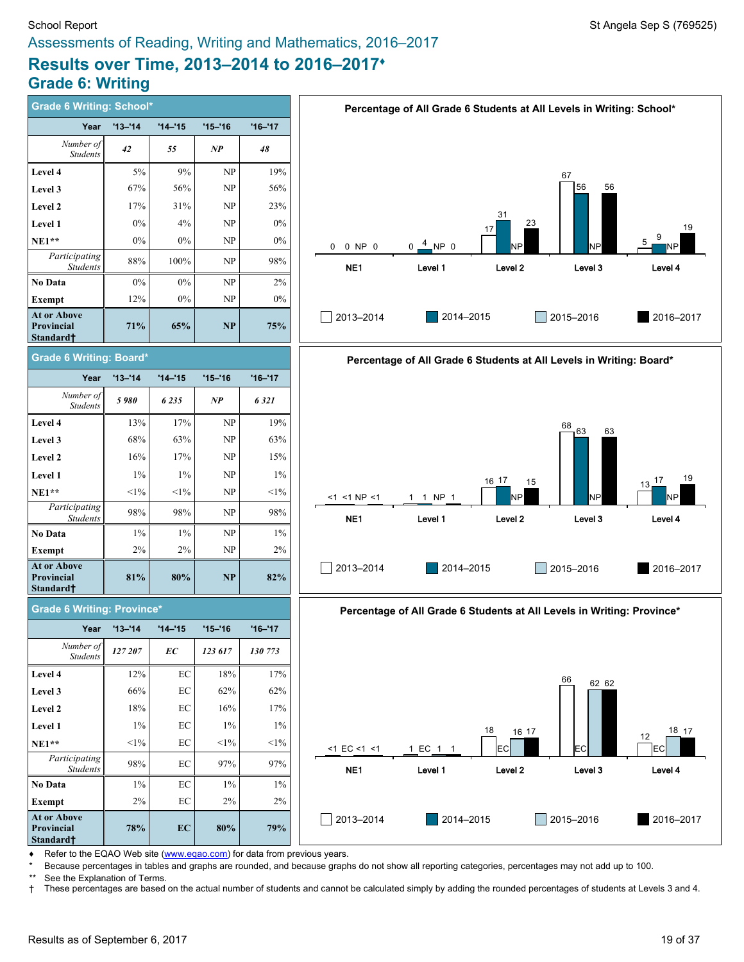# School Report Standard Sep S (769525) Assessments of Reading, Writing and Mathematics, 2016–2017

# **Results over Time, 2013–2014 to 2016–2017♦ Grade 6: Writing**

| <b>Grade 6 Writing: School*</b>                           |             |             |             |             | Percentage of All Grade 6 Students at All Levels in Writing: School*   |       |
|-----------------------------------------------------------|-------------|-------------|-------------|-------------|------------------------------------------------------------------------|-------|
| Year                                                      | $'13 - 14$  | $'14 - 15$  | $'15 - '16$ | $'16 - '17$ |                                                                        |       |
| Number of<br><b>Students</b>                              | 42          | 55          | NP          | 48          |                                                                        |       |
| Level 4                                                   | 5%          | 9%          | NP          | 19%         | 67                                                                     |       |
| Level 3                                                   | 67%         | 56%         | NP          | 56%         | 56<br>56                                                               |       |
| Level 2                                                   | 17%         | 31%         | NP          | 23%         | 31                                                                     |       |
| Level 1                                                   | 0%          | 4%          | NP          | 0%          | 23<br>17                                                               | 19    |
| $NE1**$                                                   | 0%          | $0\%$       | NP          | $0\%$       | 9<br>$4$ NP 0<br>NP<br>0 0 NP 0<br>NΡ<br>$0 -$<br>NP                   |       |
| Participating<br><b>Students</b>                          | 88%         | 100%        | NP          | 98%         | NE <sub>1</sub><br>Level 1<br>Level 2<br>Level 3<br>Level 4            |       |
| No Data                                                   | 0%          | $0\%$       | NP          | 2%          |                                                                        |       |
| <b>Exempt</b>                                             | 12%         | $0\%$       | NP          | $0\%$       |                                                                        |       |
| At or Above<br><b>Provincial</b><br>Standard <sup>+</sup> | 71%         | 65%         | NP          | 75%         | 2013-2014<br>2015-2016<br>2014-2015<br>2016-2017                       |       |
| <b>Grade 6 Writing: Board*</b>                            |             |             |             |             | Percentage of All Grade 6 Students at All Levels in Writing: Board*    |       |
| Year                                                      | $'13 - '14$ | $'14 - '15$ | $'15 - '16$ | $'16 - '17$ |                                                                        |       |
| Number of<br><b>Students</b>                              | 5980        | 6 2 3 5     | NP          | 6321        |                                                                        |       |
| Level 4                                                   | 13%         | 17%         | NP          | 19%         | 68<br>$-63$<br>63                                                      |       |
| Level 3                                                   | 68%         | 63%         | NP          | 63%         |                                                                        |       |
| Level 2                                                   | 16%         | 17%         | NP          | 15%         |                                                                        |       |
| Level 1                                                   | $1\%$       | $1\%$       | <b>NP</b>   | $1\%$       | 16 17<br>$13 - \frac{17}{5}$<br>15                                     | 19    |
| $NE1**$                                                   | $<1\%$      | $<1\%$      | NP          | $<1\%$      | N <sub>P</sub><br>NP<br><1 <1 NP <1<br>1 1 NP 1<br>NΡ                  |       |
| Participating<br><b>Students</b>                          | 98%         | 98%         | <b>NP</b>   | 98%         | NE <sub>1</sub><br>Level <sub>2</sub><br>Level 3<br>Level 4<br>Level 1 |       |
| No Data                                                   | $1\%$       | $1\%$       | NP          | $1\%$       |                                                                        |       |
| <b>Exempt</b>                                             | 2%          | 2%          | NP          | $2\%$       |                                                                        |       |
| At or Above<br>Provincial<br>Standard†                    | 81%         | 80%         | NP          | 82%         | 2013-2014<br>2014-2015<br>2015-2016<br>2016-2017                       |       |
| <b>Grade 6 Writing: Province*</b>                         |             |             |             |             | Percentage of All Grade 6 Students at All Levels in Writing: Province* |       |
| Year                                                      | $'13 - '14$ | $'14 - '15$ | $'15 - '16$ | $'16 - '17$ |                                                                        |       |
| Number of<br>Students                                     | 127 207     | ЕC          | 123 617     | 130 773     |                                                                        |       |
| Level 4                                                   | 12%         | $\rm EC$    | 18%         | 17%         | 66<br>62 62                                                            |       |
| Level 3                                                   | 66%         | $\rm EC$    | 62%         | 62%         |                                                                        |       |
| Level 2                                                   | 18%         | EC          | 16%         | 17%         |                                                                        |       |
| Level 1                                                   | $1\%$       | EC          | $1\%$       | $1\%$       | 18<br>16 17                                                            | 18 17 |
| $NE1**$                                                   | $<1\%$      | EC          | $<$ 1%      | $<$ 1%      | 12<br>EC<br>1 EC 1 1<br>EC<br><b>IEC</b><br>$<$ 1 EC $<$ 1 $<$ 1       |       |
| Participating<br><b>Students</b>                          | 98%         | $\rm EC$    | 97%         | 97%         | Level 2<br>Level 4<br>NE <sub>1</sub><br>Level 1<br>Level 3            |       |
| No Data                                                   | $1\%$       | $\rm EC$    | $1\%$       | $1\%$       |                                                                        |       |
| <b>Exempt</b>                                             | 2%          | EC          | 2%          | 2%          |                                                                        |       |
| At or Above<br>Provincial<br>Standard†                    | 78%         | EC          | $80\%$      | 79%         | 2014-2015<br>2015-2016<br>2013-2014<br>2016-2017                       |       |

Refer to the EQAO Web site [\(www.eqao.com](http://www.eqao.com/)) for data from previous years.

\* Because percentages in tables and graphs are rounded, and because graphs do not show all reporting categories, percentages may not add up to 100.

\*\* See the Explanation of Terms.

† These percentages are based on the actual number of students and cannot be calculated simply by adding the rounded percentages of students at Levels 3 and 4.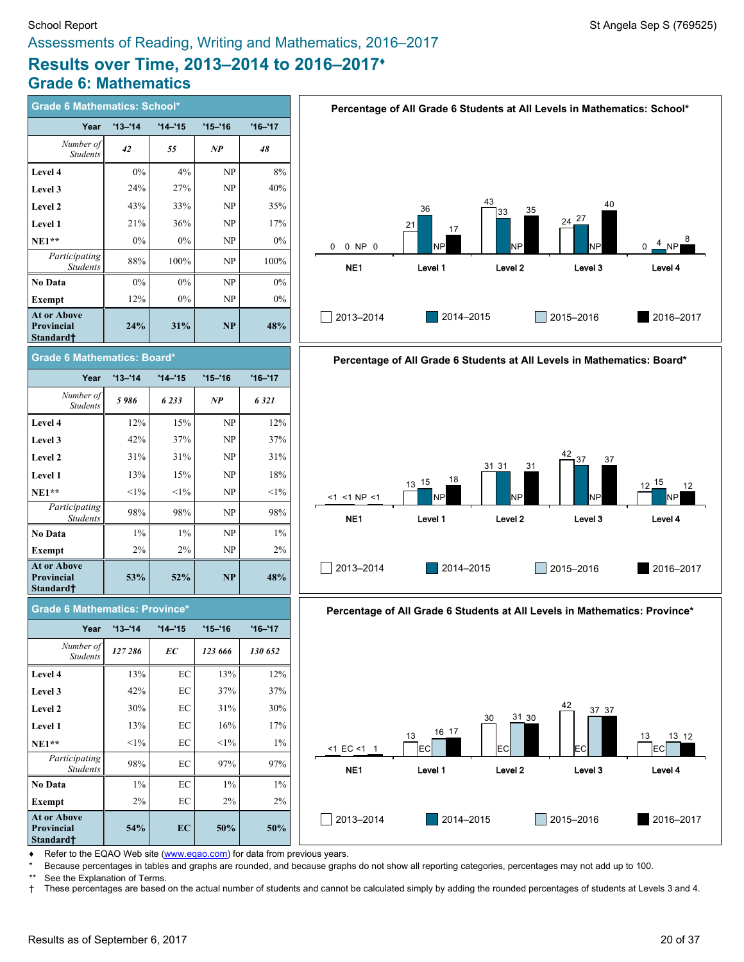# **Results over Time, 2013–2014 to 2016–2017♦ Grade 6: Mathematics**

| <b>Grade 6 Mathematics: School*</b>                              |             |             |            |             |
|------------------------------------------------------------------|-------------|-------------|------------|-------------|
| Year                                                             | $'13 - '14$ | $14 - 15$   | $'15 - 16$ | $'16 - '17$ |
| Number of<br><b>Students</b>                                     | 42          | 55          | NP         | 48          |
| Level 4                                                          | $0\%$       | 4%          | NP         | 8%          |
| Level 3                                                          | 24%         | 27%         | NP         | 40%         |
| <b>Level 2</b>                                                   | 43%         | 33%         | NP         | 35%         |
| <b>Level 1</b>                                                   | 21%         | 36%         | NP         | 17%         |
| $NE1**$                                                          | $0\%$       | $0\%$       | NP         | $0\%$       |
| Participating<br><b>Students</b>                                 | 88%         | 100%        | NP         | 100%        |
| No Data                                                          | $0\%$       | $0\%$       | NP         | $0\%$       |
| <b>Exempt</b>                                                    | 12%         | $0\%$       | NP         | 0%          |
| <b>At or Above</b><br><b>Provincial</b><br>Standard†             | 24%         | 31%         | <b>NP</b>  | 48%         |
| Grade 6 Mathematics: Board*                                      |             |             |            |             |
| Year                                                             | $'13 - '14$ | $'14 - 15$  | $'15 - 16$ | $'16 - '17$ |
| Number of<br><b>Students</b>                                     | 5986        | 6233        | NP         | 6321        |
| Level 4                                                          | 12%         | 15%         | NP         | 12%         |
| Level 3                                                          | 42%         | 37%         | NP         | 37%         |
| Level 2                                                          | 31%         | 31%         | NP         | 31%         |
| <b>Level 1</b>                                                   | 13%         | 15%         | NP         | 18%         |
| $NE1**$                                                          | $<1\%$      | $<1\%$      | NP         | $<1\%$      |
| Participating<br><b>Students</b>                                 | 98%         | 98%         | NP         | 98%         |
| No Data                                                          | $1\%$       | $1\%$       | NP         | $1\%$       |
| Exempt                                                           | 2%          | 2%          | NP         | 2%          |
| <b>At or Above</b><br><b>Provincial</b><br>Standard <sup>+</sup> | 53%         | 52%         | NP         | 48%         |
| <b>Grade 6 Mathematics: Province*</b>                            |             |             |            |             |
| Year                                                             | $'13 - '14$ | $'14 - '15$ | $'15 - 16$ | $'16 - '17$ |
| Number of<br><b>Students</b>                                     | 127 286     | EC          | 123 666    | 130 652     |
| Level 4                                                          | 13%         | EС          | 13%        | 12%         |
| Level 3                                                          | 42%         | EC          | 37%        | 37%         |
| Level 2                                                          | 30%         | EC          | 31%        | 30%         |
| Level 1                                                          | 13%         | EС          | 16%        | 17%         |
| $NE1**$                                                          | $<$ 1%      | EC          | $<$ 1%     | $1\%$       |
| Participating<br><b>Students</b>                                 | 98%         | EС          | 97%        | 97%         |





**Percentage of All Grade 6 Students at All Levels in Mathematics: Province\***



Refer to the EQAO Web site [\(www.eqao.com](http://www.eqao.com/)) for data from previous years.

**54% EC 50% 50%**

**No Data** 1% EC 1% 1% **Exempt** 2% EC 2% 2% 2%

\* Because percentages in tables and graphs are rounded, and because graphs do not show all reporting categories, percentages may not add up to 100.

**At or Above Provincial Standard†**

\*\* See the Explanation of Terms.<br>† These percentages are based † These percentages are based on the actual number of students and cannot be calculated simply by adding the rounded percentages of students at Levels 3 and 4.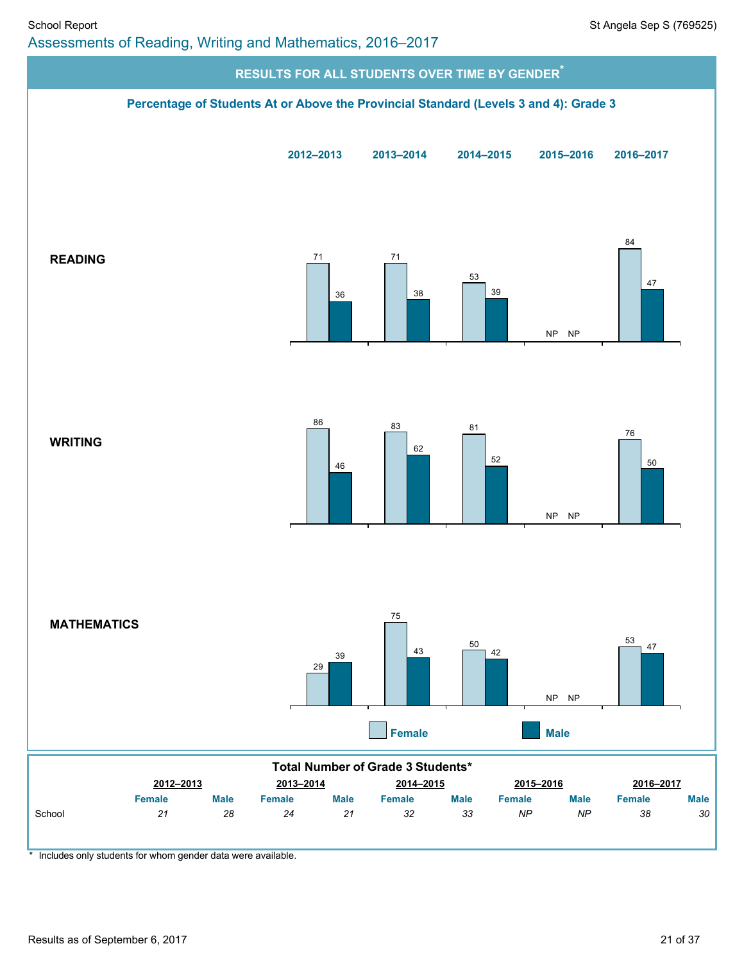

\* Includes only students for whom gender data were available.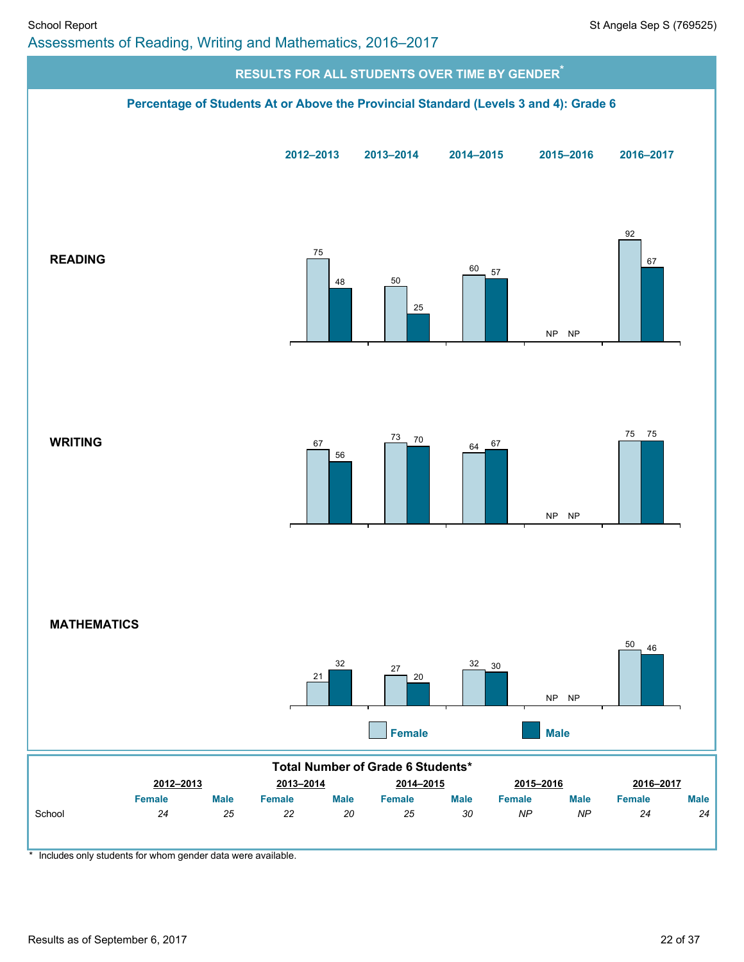

\* Includes only students for whom gender data were available.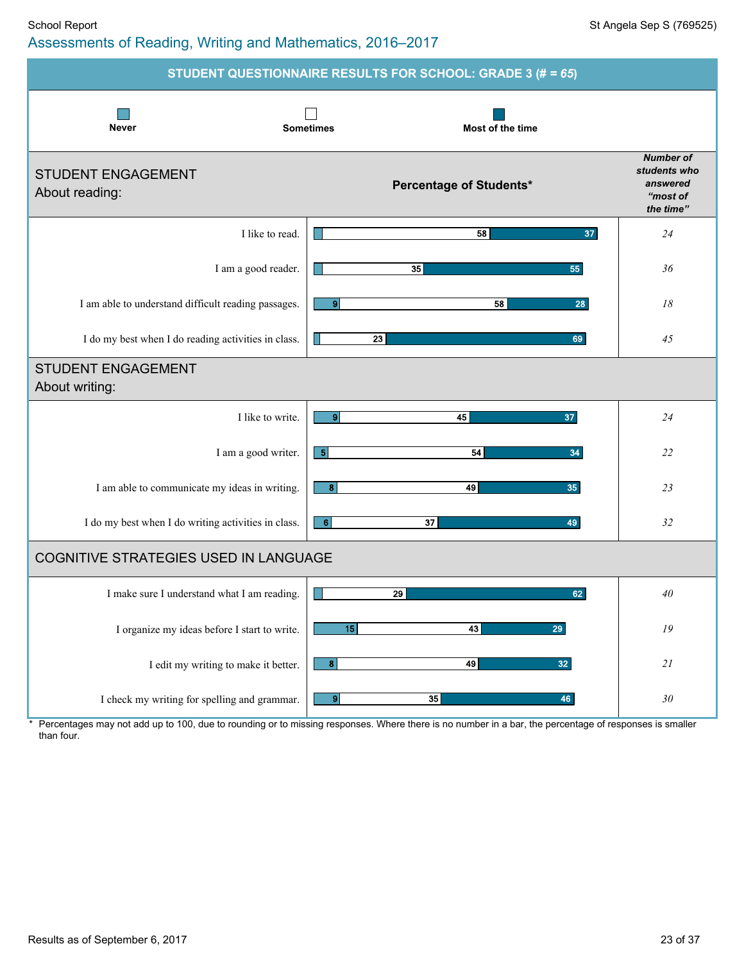#### School Report School Report St Angela Sep S (769525) Assessments of Reading, Writing and Mathematics, 2016–2017

|                                                     | STUDENT QUESTIONNAIRE RESULTS FOR SCHOOL: GRADE 3 (# = 65) |                                                                       |
|-----------------------------------------------------|------------------------------------------------------------|-----------------------------------------------------------------------|
| <b>Never</b>                                        | <b>Sometimes</b><br>Most of the time                       |                                                                       |
| <b>STUDENT ENGAGEMENT</b><br>About reading:         | Percentage of Students*                                    | <b>Number of</b><br>students who<br>answered<br>"most of<br>the time" |
| I like to read.                                     | 37<br>58                                                   | 24                                                                    |
| I am a good reader.                                 | 35<br>55                                                   | 36                                                                    |
| I am able to understand difficult reading passages. | 9 <sub>l</sub><br>58<br>28                                 | 18                                                                    |
| I do my best when I do reading activities in class. | 23<br>69                                                   | 45                                                                    |
| <b>STUDENT ENGAGEMENT</b><br>About writing:         |                                                            |                                                                       |
| I like to write.                                    | 9 <sub>l</sub><br>45<br>37                                 | 24                                                                    |
| I am a good writer.                                 | $\vert 5 \vert$<br>54<br>34                                | 22                                                                    |
| I am able to communicate my ideas in writing.       | 49<br>8 <sup>1</sup><br>35                                 | 23                                                                    |
| I do my best when I do writing activities in class. | 6<br>37<br>49                                              | 32                                                                    |
| COGNITIVE STRATEGIES USED IN LANGUAGE               |                                                            |                                                                       |
| I make sure I understand what I am reading.         | 29<br>62                                                   | 40                                                                    |
| I organize my ideas before I start to write.        | 15<br>43<br>29                                             | ${\it 19}$                                                            |
| I edit my writing to make it better.                | $\boldsymbol{8}$<br>49<br>32 <sub>2</sub>                  | 21                                                                    |
| I check my writing for spelling and grammar.        | $\bullet$<br>35<br>46                                      | $30\,$                                                                |

\* Percentages may not add up to 100, due to rounding or to missing responses. Where there is no number in a bar, the percentage of responses is smaller than four.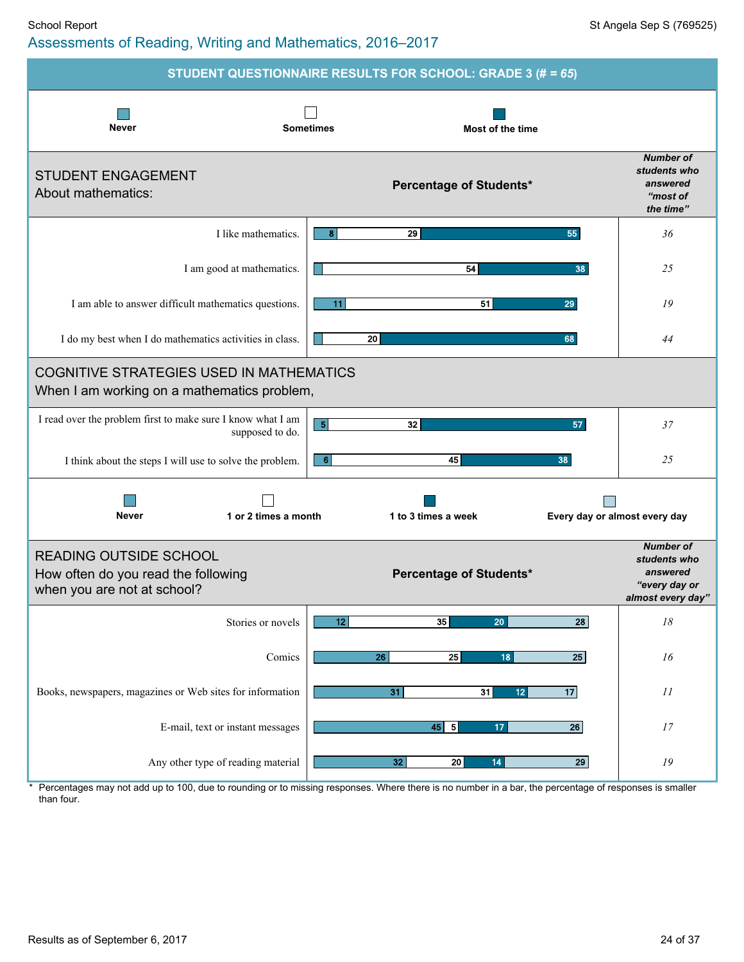#### School Report School Report St Angela Sep S (769525) Assessments of Reading, Writing and Mathematics, 2016–2017

|                                                                                                                                                               | STUDENT QUESTIONNAIRE RESULTS FOR SCHOOL: GRADE 3 (# = 65) |                                                                                    |
|---------------------------------------------------------------------------------------------------------------------------------------------------------------|------------------------------------------------------------|------------------------------------------------------------------------------------|
| <b>Never</b>                                                                                                                                                  | <b>Sometimes</b><br>Most of the time                       |                                                                                    |
| <b>STUDENT ENGAGEMENT</b><br>About mathematics:                                                                                                               | <b>Percentage of Students*</b>                             | <b>Number of</b><br>students who<br>answered<br>"most of<br>the time"              |
| I like mathematics.                                                                                                                                           | 8<br>29<br>55                                              | 36                                                                                 |
| I am good at mathematics.                                                                                                                                     | 54<br>38                                                   | 25                                                                                 |
| I am able to answer difficult mathematics questions.                                                                                                          | 11<br>51<br>29                                             | 19                                                                                 |
| I do my best when I do mathematics activities in class.                                                                                                       | 20 <br>68                                                  | 44                                                                                 |
| <b>COGNITIVE STRATEGIES USED IN MATHEMATICS</b><br>When I am working on a mathematics problem,<br>I read over the problem first to make sure I know what I am | 5<br>32<br>57                                              | 37                                                                                 |
| supposed to do.                                                                                                                                               |                                                            |                                                                                    |
| I think about the steps I will use to solve the problem.                                                                                                      | 45<br>$6 \mid$<br>38                                       | 25                                                                                 |
| <b>Never</b><br>1 or 2 times a month                                                                                                                          | 1 to 3 times a week                                        | Every day or almost every day                                                      |
| <b>READING OUTSIDE SCHOOL</b><br>How often do you read the following<br>when you are not at school?                                                           | <b>Percentage of Students*</b>                             | <b>Number of</b><br>students who<br>answered<br>"every day or<br>almost every day" |
| Stories or novels                                                                                                                                             | 12<br>35<br>20<br>28                                       | $18\,$                                                                             |
| Comics                                                                                                                                                        | 26<br>$\overline{25}$<br>18<br>25                          | 16                                                                                 |
| Books, newspapers, magazines or Web sites for information                                                                                                     | 17<br>31<br>31<br>12 <sub>2</sub>                          | 11                                                                                 |
| E-mail, text or instant messages                                                                                                                              | $45 \overline{5}$<br>$\overline{26}$<br>17                 | $17\,$                                                                             |
| Any other type of reading material                                                                                                                            | $\overline{20}$<br>14<br>32<br>29                          | ${\it 19}$                                                                         |

\* Percentages may not add up to 100, due to rounding or to missing responses. Where there is no number in a bar, the percentage of responses is smaller than four.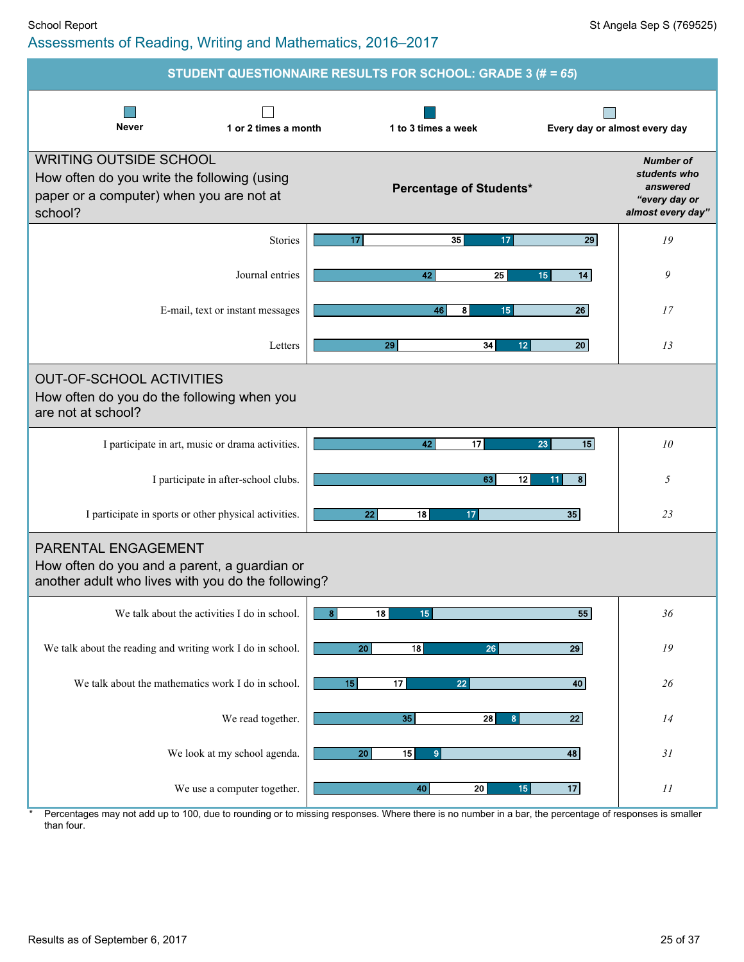|                                                                                                                                     | STUDENT QUESTIONNAIRE RESULTS FOR SCHOOL: GRADE 3 (# = 65) |                                                                                    |
|-------------------------------------------------------------------------------------------------------------------------------------|------------------------------------------------------------|------------------------------------------------------------------------------------|
| <b>Never</b><br>1 or 2 times a month                                                                                                | 1 to 3 times a week                                        | Every day or almost every day                                                      |
| <b>WRITING OUTSIDE SCHOOL</b><br>How often do you write the following (using<br>paper or a computer) when you are not at<br>school? | Percentage of Students*                                    | <b>Number of</b><br>students who<br>answered<br>"every day or<br>almost every day" |
| Stories                                                                                                                             | 35<br>29<br>17<br>17                                       | 19                                                                                 |
| Journal entries                                                                                                                     | 42<br>25<br>14<br>15                                       | 9                                                                                  |
| E-mail, text or instant messages                                                                                                    | 46<br>8<br>15<br>26                                        | 17                                                                                 |
| Letters                                                                                                                             | 34<br>29<br>12 <sub>2</sub><br>20                          | 13                                                                                 |
| <b>OUT-OF-SCHOOL ACTIVITIES</b><br>How often do you do the following when you<br>are not at school?                                 |                                                            |                                                                                    |
| I participate in art, music or drama activities.                                                                                    | 17<br>15<br>42<br>23                                       | 10                                                                                 |
| I participate in after-school clubs.                                                                                                | 63<br>12<br>8 <sup>1</sup><br>11                           | 5                                                                                  |
| I participate in sports or other physical activities.                                                                               | 35<br>22<br>18<br>17                                       | 23                                                                                 |
| <b>PARENTAL ENGAGEMENT</b><br>How often do you and a parent, a guardian or<br>another adult who lives with you do the following?    |                                                            |                                                                                    |
| We talk about the activities I do in school.                                                                                        | 8 <br>$18 \mid$<br>15<br>55                                | 36                                                                                 |
| We talk about the reading and writing work I do in school.                                                                          | 20 <sub>2</sub><br>18<br>26<br>29                          | ${\it 19}$                                                                         |
| We talk about the mathematics work I do in school.                                                                                  | 17<br>40<br>15<br>22                                       | 26                                                                                 |
| We read together.                                                                                                                   | $\overline{35}$<br>$\overline{28}$<br>$\mathbf{8}$<br> 22  | 14                                                                                 |
| We look at my school agenda.                                                                                                        | 20 <sub>2</sub><br>15<br>48<br>9 <sup>1</sup>              | 31                                                                                 |
| We use a computer together.                                                                                                         | 15<br>17<br>${\bf 40}$<br>20                               | 11                                                                                 |

⊥ \* Percentages may not add up to 100, due to rounding or to missing responses. Where there is no number in a bar, the percentage of responses is smaller than four.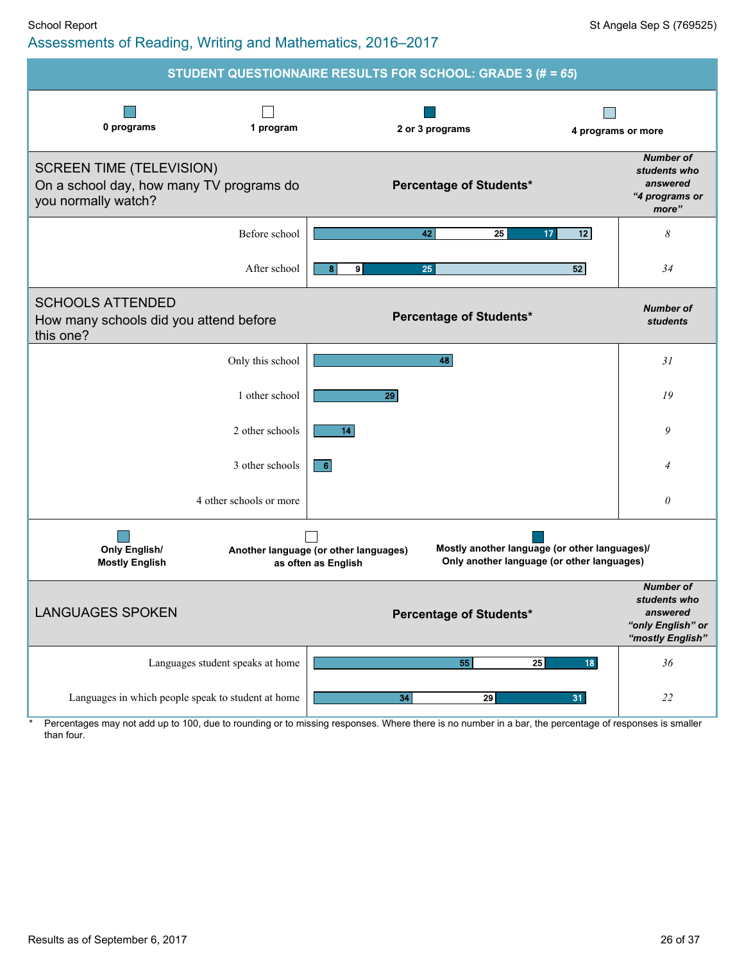

Percentages may not add up to 100, due to rounding or to missing responses. Where there is no number in a bar, the percentage of responses is smaller than four.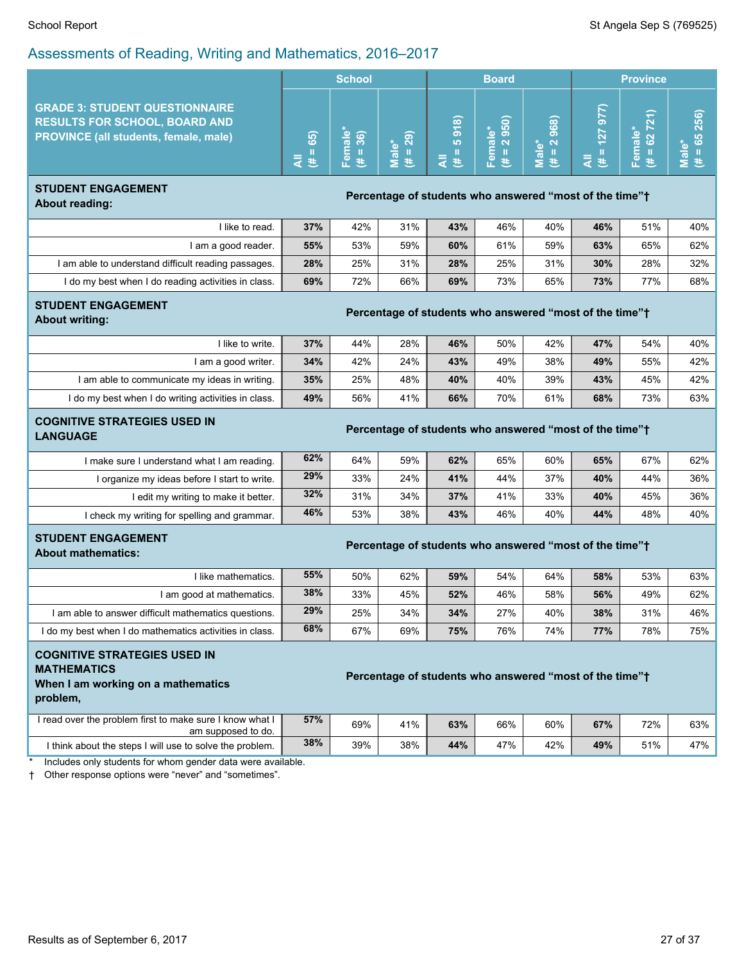| <b>GRADE 3: STUDENT QUESTIONNAIRE</b><br>$(4 = 127977)$<br>$# = 65256$<br>$= 62 721$<br>$(H = 2968)$<br><b>RESULTS FOR SCHOOL, BOARD AND</b><br>918<br>950)<br>Female*<br>Female*<br>Female*<br>$(# = 36)$<br>65)<br>$(# = 29)$<br><b>PROVINCE (all students, female, male)</b><br>ю<br>$\overline{\mathbf{N}}$<br>Male*<br>Male*<br>Male*<br>$\mathbf{II}$<br>Ш<br>$\parallel$ II<br>₹<br>₹<br>₹<br>巷<br>巷<br>巷<br>巷<br><b>STUDENT ENGAGEMENT</b><br>Percentage of students who answered "most of the time"+<br><b>About reading:</b><br>42%<br>40%<br>46%<br>I like to read.<br>37%<br>31%<br>43%<br>46%<br>51%<br>I am a good reader.<br>55%<br>53%<br>59%<br>60%<br>61%<br>59%<br>63%<br>65%<br>I am able to understand difficult reading passages.<br>28%<br>25%<br>31%<br>28%<br>25%<br>31%<br>30%<br>28%<br>69%<br>I do my best when I do reading activities in class.<br>72%<br>66%<br>69%<br>73%<br>65%<br>73%<br>77%<br><b>STUDENT ENGAGEMENT</b><br>Percentage of students who answered "most of the time"+<br><b>About writing:</b><br>I like to write.<br>37%<br>44%<br>28%<br>46%<br>50%<br>42%<br>47%<br>54%<br>I am a good writer.<br>34%<br>42%<br>24%<br>43%<br>49%<br>38%<br>49%<br>55%<br>I am able to communicate my ideas in writing.<br>35%<br>25%<br>48%<br>40%<br>40%<br>39%<br>43%<br>45%<br>49%<br>I do my best when I do writing activities in class.<br>56%<br>41%<br>66%<br>70%<br>61%<br>68%<br>73%<br><b>COGNITIVE STRATEGIES USED IN</b><br>Percentage of students who answered "most of the time"+<br><b>LANGUAGE</b><br>62%<br>64%<br>59%<br>62%<br>65%<br>60%<br>65%<br>67%<br>I make sure I understand what I am reading.<br>29%<br>37%<br>33%<br>24%<br>41%<br>44%<br>40%<br>44%<br>I organize my ideas before I start to write.<br>32%<br>37%<br>33%<br>31%<br>34%<br>41%<br>40%<br>45%<br>I edit my writing to make it better.<br>46%<br>40%<br>53%<br>38%<br>43%<br>46%<br>44%<br>48%<br>I check my writing for spelling and grammar.<br><b>STUDENT ENGAGEMENT</b><br>Percentage of students who answered "most of the time"+<br><b>About mathematics:</b><br>55%<br>I like mathematics.<br>50%<br>62%<br>59%<br>54%<br>64%<br>58%<br>53%<br>38%<br>I am good at mathematics.<br>33%<br>45%<br>52%<br>46%<br>58%<br>56%<br>49%<br>29%<br>I am able to answer difficult mathematics questions.<br>25%<br>34%<br>34%<br>27%<br>40%<br>38%<br>31%<br>68%<br>67%<br>I do my best when I do mathematics activities in class.<br>69%<br>75%<br>76%<br>74%<br>77%<br>78%<br><b>COGNITIVE STRATEGIES USED IN</b><br><b>MATHEMATICS</b><br>Percentage of students who answered "most of the time" <sup>+</sup><br>When I am working on a mathematics<br>problem,<br>I read over the problem first to make sure I know what I<br>57%<br>69%<br>41%<br>63%<br>60%<br>67%<br>72%<br>66%<br>am supposed to do.<br>38%<br>39%<br>38%<br>42%<br>49%<br>51%<br>I think about the steps I will use to solve the problem.<br>44%<br>47%<br>Includes only students for whom gender data were available. | $\frac{1}{2}$ to coordinate of Frodding, Trilling and Mathomatic, 2010 |  | <b>School</b> |  |  |              |  |  | <b>Province</b> |     |
|-------------------------------------------------------------------------------------------------------------------------------------------------------------------------------------------------------------------------------------------------------------------------------------------------------------------------------------------------------------------------------------------------------------------------------------------------------------------------------------------------------------------------------------------------------------------------------------------------------------------------------------------------------------------------------------------------------------------------------------------------------------------------------------------------------------------------------------------------------------------------------------------------------------------------------------------------------------------------------------------------------------------------------------------------------------------------------------------------------------------------------------------------------------------------------------------------------------------------------------------------------------------------------------------------------------------------------------------------------------------------------------------------------------------------------------------------------------------------------------------------------------------------------------------------------------------------------------------------------------------------------------------------------------------------------------------------------------------------------------------------------------------------------------------------------------------------------------------------------------------------------------------------------------------------------------------------------------------------------------------------------------------------------------------------------------------------------------------------------------------------------------------------------------------------------------------------------------------------------------------------------------------------------------------------------------------------------------------------------------------------------------------------------------------------------------------------------------------------------------------------------------------------------------------------------------------------------------------------------------------------------------------------------------------------------------------------------------------------------------------------------------------------------------------------------------------------------------------------------------------------------------------------------------------------------------------------------------------------------------------------------------------------------|------------------------------------------------------------------------|--|---------------|--|--|--------------|--|--|-----------------|-----|
|                                                                                                                                                                                                                                                                                                                                                                                                                                                                                                                                                                                                                                                                                                                                                                                                                                                                                                                                                                                                                                                                                                                                                                                                                                                                                                                                                                                                                                                                                                                                                                                                                                                                                                                                                                                                                                                                                                                                                                                                                                                                                                                                                                                                                                                                                                                                                                                                                                                                                                                                                                                                                                                                                                                                                                                                                                                                                                                                                                                                                               |                                                                        |  |               |  |  | <b>Board</b> |  |  |                 |     |
|                                                                                                                                                                                                                                                                                                                                                                                                                                                                                                                                                                                                                                                                                                                                                                                                                                                                                                                                                                                                                                                                                                                                                                                                                                                                                                                                                                                                                                                                                                                                                                                                                                                                                                                                                                                                                                                                                                                                                                                                                                                                                                                                                                                                                                                                                                                                                                                                                                                                                                                                                                                                                                                                                                                                                                                                                                                                                                                                                                                                                               |                                                                        |  |               |  |  |              |  |  |                 |     |
|                                                                                                                                                                                                                                                                                                                                                                                                                                                                                                                                                                                                                                                                                                                                                                                                                                                                                                                                                                                                                                                                                                                                                                                                                                                                                                                                                                                                                                                                                                                                                                                                                                                                                                                                                                                                                                                                                                                                                                                                                                                                                                                                                                                                                                                                                                                                                                                                                                                                                                                                                                                                                                                                                                                                                                                                                                                                                                                                                                                                                               |                                                                        |  |               |  |  |              |  |  |                 |     |
|                                                                                                                                                                                                                                                                                                                                                                                                                                                                                                                                                                                                                                                                                                                                                                                                                                                                                                                                                                                                                                                                                                                                                                                                                                                                                                                                                                                                                                                                                                                                                                                                                                                                                                                                                                                                                                                                                                                                                                                                                                                                                                                                                                                                                                                                                                                                                                                                                                                                                                                                                                                                                                                                                                                                                                                                                                                                                                                                                                                                                               |                                                                        |  |               |  |  |              |  |  |                 | 40% |
|                                                                                                                                                                                                                                                                                                                                                                                                                                                                                                                                                                                                                                                                                                                                                                                                                                                                                                                                                                                                                                                                                                                                                                                                                                                                                                                                                                                                                                                                                                                                                                                                                                                                                                                                                                                                                                                                                                                                                                                                                                                                                                                                                                                                                                                                                                                                                                                                                                                                                                                                                                                                                                                                                                                                                                                                                                                                                                                                                                                                                               |                                                                        |  |               |  |  |              |  |  |                 | 62% |
|                                                                                                                                                                                                                                                                                                                                                                                                                                                                                                                                                                                                                                                                                                                                                                                                                                                                                                                                                                                                                                                                                                                                                                                                                                                                                                                                                                                                                                                                                                                                                                                                                                                                                                                                                                                                                                                                                                                                                                                                                                                                                                                                                                                                                                                                                                                                                                                                                                                                                                                                                                                                                                                                                                                                                                                                                                                                                                                                                                                                                               |                                                                        |  |               |  |  |              |  |  |                 | 32% |
|                                                                                                                                                                                                                                                                                                                                                                                                                                                                                                                                                                                                                                                                                                                                                                                                                                                                                                                                                                                                                                                                                                                                                                                                                                                                                                                                                                                                                                                                                                                                                                                                                                                                                                                                                                                                                                                                                                                                                                                                                                                                                                                                                                                                                                                                                                                                                                                                                                                                                                                                                                                                                                                                                                                                                                                                                                                                                                                                                                                                                               |                                                                        |  |               |  |  |              |  |  |                 | 68% |
|                                                                                                                                                                                                                                                                                                                                                                                                                                                                                                                                                                                                                                                                                                                                                                                                                                                                                                                                                                                                                                                                                                                                                                                                                                                                                                                                                                                                                                                                                                                                                                                                                                                                                                                                                                                                                                                                                                                                                                                                                                                                                                                                                                                                                                                                                                                                                                                                                                                                                                                                                                                                                                                                                                                                                                                                                                                                                                                                                                                                                               |                                                                        |  |               |  |  |              |  |  |                 |     |
|                                                                                                                                                                                                                                                                                                                                                                                                                                                                                                                                                                                                                                                                                                                                                                                                                                                                                                                                                                                                                                                                                                                                                                                                                                                                                                                                                                                                                                                                                                                                                                                                                                                                                                                                                                                                                                                                                                                                                                                                                                                                                                                                                                                                                                                                                                                                                                                                                                                                                                                                                                                                                                                                                                                                                                                                                                                                                                                                                                                                                               |                                                                        |  |               |  |  |              |  |  |                 | 40% |
|                                                                                                                                                                                                                                                                                                                                                                                                                                                                                                                                                                                                                                                                                                                                                                                                                                                                                                                                                                                                                                                                                                                                                                                                                                                                                                                                                                                                                                                                                                                                                                                                                                                                                                                                                                                                                                                                                                                                                                                                                                                                                                                                                                                                                                                                                                                                                                                                                                                                                                                                                                                                                                                                                                                                                                                                                                                                                                                                                                                                                               |                                                                        |  |               |  |  |              |  |  |                 | 42% |
|                                                                                                                                                                                                                                                                                                                                                                                                                                                                                                                                                                                                                                                                                                                                                                                                                                                                                                                                                                                                                                                                                                                                                                                                                                                                                                                                                                                                                                                                                                                                                                                                                                                                                                                                                                                                                                                                                                                                                                                                                                                                                                                                                                                                                                                                                                                                                                                                                                                                                                                                                                                                                                                                                                                                                                                                                                                                                                                                                                                                                               |                                                                        |  |               |  |  |              |  |  |                 | 42% |
|                                                                                                                                                                                                                                                                                                                                                                                                                                                                                                                                                                                                                                                                                                                                                                                                                                                                                                                                                                                                                                                                                                                                                                                                                                                                                                                                                                                                                                                                                                                                                                                                                                                                                                                                                                                                                                                                                                                                                                                                                                                                                                                                                                                                                                                                                                                                                                                                                                                                                                                                                                                                                                                                                                                                                                                                                                                                                                                                                                                                                               |                                                                        |  |               |  |  |              |  |  |                 | 63% |
|                                                                                                                                                                                                                                                                                                                                                                                                                                                                                                                                                                                                                                                                                                                                                                                                                                                                                                                                                                                                                                                                                                                                                                                                                                                                                                                                                                                                                                                                                                                                                                                                                                                                                                                                                                                                                                                                                                                                                                                                                                                                                                                                                                                                                                                                                                                                                                                                                                                                                                                                                                                                                                                                                                                                                                                                                                                                                                                                                                                                                               |                                                                        |  |               |  |  |              |  |  |                 |     |
|                                                                                                                                                                                                                                                                                                                                                                                                                                                                                                                                                                                                                                                                                                                                                                                                                                                                                                                                                                                                                                                                                                                                                                                                                                                                                                                                                                                                                                                                                                                                                                                                                                                                                                                                                                                                                                                                                                                                                                                                                                                                                                                                                                                                                                                                                                                                                                                                                                                                                                                                                                                                                                                                                                                                                                                                                                                                                                                                                                                                                               |                                                                        |  |               |  |  |              |  |  |                 | 62% |
|                                                                                                                                                                                                                                                                                                                                                                                                                                                                                                                                                                                                                                                                                                                                                                                                                                                                                                                                                                                                                                                                                                                                                                                                                                                                                                                                                                                                                                                                                                                                                                                                                                                                                                                                                                                                                                                                                                                                                                                                                                                                                                                                                                                                                                                                                                                                                                                                                                                                                                                                                                                                                                                                                                                                                                                                                                                                                                                                                                                                                               |                                                                        |  |               |  |  |              |  |  |                 | 36% |
|                                                                                                                                                                                                                                                                                                                                                                                                                                                                                                                                                                                                                                                                                                                                                                                                                                                                                                                                                                                                                                                                                                                                                                                                                                                                                                                                                                                                                                                                                                                                                                                                                                                                                                                                                                                                                                                                                                                                                                                                                                                                                                                                                                                                                                                                                                                                                                                                                                                                                                                                                                                                                                                                                                                                                                                                                                                                                                                                                                                                                               |                                                                        |  |               |  |  |              |  |  |                 | 36% |
|                                                                                                                                                                                                                                                                                                                                                                                                                                                                                                                                                                                                                                                                                                                                                                                                                                                                                                                                                                                                                                                                                                                                                                                                                                                                                                                                                                                                                                                                                                                                                                                                                                                                                                                                                                                                                                                                                                                                                                                                                                                                                                                                                                                                                                                                                                                                                                                                                                                                                                                                                                                                                                                                                                                                                                                                                                                                                                                                                                                                                               |                                                                        |  |               |  |  |              |  |  |                 | 40% |
|                                                                                                                                                                                                                                                                                                                                                                                                                                                                                                                                                                                                                                                                                                                                                                                                                                                                                                                                                                                                                                                                                                                                                                                                                                                                                                                                                                                                                                                                                                                                                                                                                                                                                                                                                                                                                                                                                                                                                                                                                                                                                                                                                                                                                                                                                                                                                                                                                                                                                                                                                                                                                                                                                                                                                                                                                                                                                                                                                                                                                               |                                                                        |  |               |  |  |              |  |  |                 |     |
|                                                                                                                                                                                                                                                                                                                                                                                                                                                                                                                                                                                                                                                                                                                                                                                                                                                                                                                                                                                                                                                                                                                                                                                                                                                                                                                                                                                                                                                                                                                                                                                                                                                                                                                                                                                                                                                                                                                                                                                                                                                                                                                                                                                                                                                                                                                                                                                                                                                                                                                                                                                                                                                                                                                                                                                                                                                                                                                                                                                                                               |                                                                        |  |               |  |  |              |  |  |                 | 63% |
|                                                                                                                                                                                                                                                                                                                                                                                                                                                                                                                                                                                                                                                                                                                                                                                                                                                                                                                                                                                                                                                                                                                                                                                                                                                                                                                                                                                                                                                                                                                                                                                                                                                                                                                                                                                                                                                                                                                                                                                                                                                                                                                                                                                                                                                                                                                                                                                                                                                                                                                                                                                                                                                                                                                                                                                                                                                                                                                                                                                                                               |                                                                        |  |               |  |  |              |  |  |                 | 62% |
|                                                                                                                                                                                                                                                                                                                                                                                                                                                                                                                                                                                                                                                                                                                                                                                                                                                                                                                                                                                                                                                                                                                                                                                                                                                                                                                                                                                                                                                                                                                                                                                                                                                                                                                                                                                                                                                                                                                                                                                                                                                                                                                                                                                                                                                                                                                                                                                                                                                                                                                                                                                                                                                                                                                                                                                                                                                                                                                                                                                                                               |                                                                        |  |               |  |  |              |  |  |                 | 46% |
|                                                                                                                                                                                                                                                                                                                                                                                                                                                                                                                                                                                                                                                                                                                                                                                                                                                                                                                                                                                                                                                                                                                                                                                                                                                                                                                                                                                                                                                                                                                                                                                                                                                                                                                                                                                                                                                                                                                                                                                                                                                                                                                                                                                                                                                                                                                                                                                                                                                                                                                                                                                                                                                                                                                                                                                                                                                                                                                                                                                                                               |                                                                        |  |               |  |  |              |  |  |                 | 75% |
|                                                                                                                                                                                                                                                                                                                                                                                                                                                                                                                                                                                                                                                                                                                                                                                                                                                                                                                                                                                                                                                                                                                                                                                                                                                                                                                                                                                                                                                                                                                                                                                                                                                                                                                                                                                                                                                                                                                                                                                                                                                                                                                                                                                                                                                                                                                                                                                                                                                                                                                                                                                                                                                                                                                                                                                                                                                                                                                                                                                                                               |                                                                        |  |               |  |  |              |  |  |                 |     |
|                                                                                                                                                                                                                                                                                                                                                                                                                                                                                                                                                                                                                                                                                                                                                                                                                                                                                                                                                                                                                                                                                                                                                                                                                                                                                                                                                                                                                                                                                                                                                                                                                                                                                                                                                                                                                                                                                                                                                                                                                                                                                                                                                                                                                                                                                                                                                                                                                                                                                                                                                                                                                                                                                                                                                                                                                                                                                                                                                                                                                               |                                                                        |  |               |  |  |              |  |  |                 | 63% |
|                                                                                                                                                                                                                                                                                                                                                                                                                                                                                                                                                                                                                                                                                                                                                                                                                                                                                                                                                                                                                                                                                                                                                                                                                                                                                                                                                                                                                                                                                                                                                                                                                                                                                                                                                                                                                                                                                                                                                                                                                                                                                                                                                                                                                                                                                                                                                                                                                                                                                                                                                                                                                                                                                                                                                                                                                                                                                                                                                                                                                               |                                                                        |  |               |  |  |              |  |  |                 | 47% |

† Other response options were "never" and "sometimes".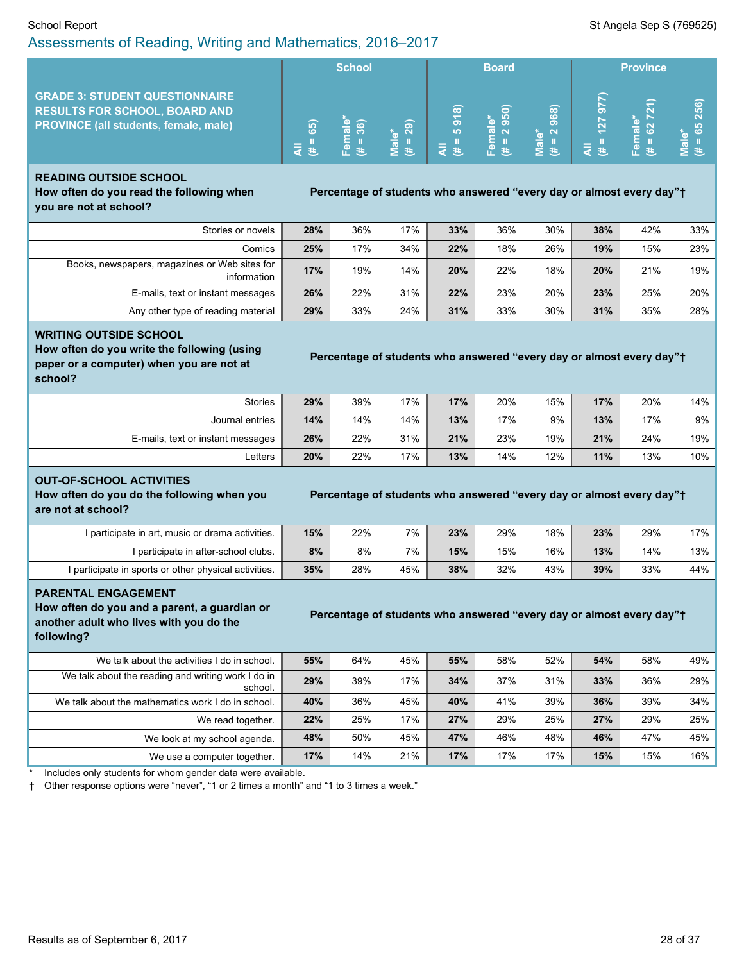#### School Report Standard Sep S (769525) Assessments of Reading, Writing and Mathematics, 2016–2017

|                                                                                                                               | <b>School</b> |                                                  |                                                       | <b>Board</b>                                           |                                                                 |                                  | <b>Province</b>          |                                        |                                                     |
|-------------------------------------------------------------------------------------------------------------------------------|---------------|--------------------------------------------------|-------------------------------------------------------|--------------------------------------------------------|-----------------------------------------------------------------|----------------------------------|--------------------------|----------------------------------------|-----------------------------------------------------|
| <b>GRADE 3: STUDENT QUESTIONNAIRE</b><br><b>RESULTS FOR SCHOOL, BOARD AND</b><br><b>PROVINCE (all students, female, male)</b> | හි            | $\widehat{\omega}$<br>ъ<br>$\sigma$<br><b>00</b> | $\overline{29}$<br>ົດ<br>$\overline{\mathbf{e}}$<br>井 | $\widehat{\infty}$<br>$\overline{\delta}$<br><b>LO</b> | <b>16</b><br><b>LO</b><br>$\bullet$<br>ത<br>്പ<br>$\sigma$<br>Ф | ၜ<br>ശ<br>ത<br>$\sim$<br>്മ<br>ಸ | R<br>စ<br>127<br>⋿<br>Ŧ. | €<br>Ň<br>∽<br>$\scriptstyle\sim$<br>w | 6<br>۱ō<br>$\overline{\mathbf{N}}$<br>ю<br>κö<br>ਜ਼ |

#### **READING OUTSIDE SCHOOL How often do you read the following when**

**Percentage** of students who answered "every day or almost every day"<sup>+</sup>

**you are not at school?**

| Stories or novels                                            | 28% | 36% | 17% | 33% | 36% | 30% | 38% | 42% | 33% |
|--------------------------------------------------------------|-----|-----|-----|-----|-----|-----|-----|-----|-----|
| Comics                                                       | 25% | 17% | 34% | 22% | 18% | 26% | 19% | 15% | 23% |
| Books, newspapers, magazines or Web sites for<br>information | 17% | 19% | 14% | 20% | 22% | 18% | 20% | 21% | 19% |
| E-mails, text or instant messages                            | 26% | 22% | 31% | 22% | 23% | 20% | 23% | 25% | 20% |
| Any other type of reading material                           | 29% | 33% | 24% | 31% | 33% | 30% | 31% | 35% | 28% |

#### **WRITING OUTSIDE SCHOOL**

**How often do you write the following (using paper or a computer) when you are not at school?**

|  |  | Percentage of students who answered "every day or almost every day"† |  |
|--|--|----------------------------------------------------------------------|--|
|  |  |                                                                      |  |

| <b>Stories</b>                    | 29% | 39% | 17% | 17% | 20% | 15% | 17% | 20% | $14\%$ |
|-----------------------------------|-----|-----|-----|-----|-----|-----|-----|-----|--------|
| Journal entries                   | 14% | 14% | 14% | 13% | 17% | 9%  | 13% | 17% | $9\%$  |
| E-mails, text or instant messages | 26% | 22% | 31% | 21% | 23% | 19% | 21% | 24% | 19%    |
| Letters                           | 20% | 22% | 17% | 13% | 14% | 12% | 11% | 13% | $10\%$ |

#### **OUT-OF-SCHOOL ACTIVITIES**

**How often do you do the following when you are not at school?**

#### **Percentage of students who answered "every day or almost every day"<sup>+</sup>**

I participate in art, music or drama activities. **15%** 22% 7% **23%** 29% 18% **23%** 29% 17% I participate in after-school clubs. **8%** 8% 7% **15%** 15% 16% **13%** 14% 13% I participate in sports or other physical activities. **35%** 28% 45% **38%** 32% 43% **39%** 33% 44%

#### **PARENTAL ENGAGEMENT**

**How often do you and a parent, a guardian or another adult who lives with you do the following?**

#### **Percentage of students who answered "every day or almost every day"<sup>+</sup>**

| We talk about the activities I do in school.                  | 55% | 64% | 45% | 55% | 58% | 52% | 54% | 58% | 49% |
|---------------------------------------------------------------|-----|-----|-----|-----|-----|-----|-----|-----|-----|
| We talk about the reading and writing work I do in<br>school. | 29% | 39% | 17% | 34% | 37% | 31% | 33% | 36% | 29% |
| We talk about the mathematics work I do in school.            | 40% | 36% | 45% | 40% | 41% | 39% | 36% | 39% | 34% |
| We read together.                                             | 22% | 25% | 17% | 27% | 29% | 25% | 27% | 29% | 25% |
| We look at my school agenda.                                  | 48% | 50% | 45% | 47% | 46% | 48% | 46% | 47% | 45% |
| We use a computer together.                                   | 17% | 14% | 21% | 17% | 17% | 17% | 15% | 15% | 16% |

Includes only students for whom gender data were available.

† Other response options were "never", "1 or 2 times a month" and "1 to 3 times a week."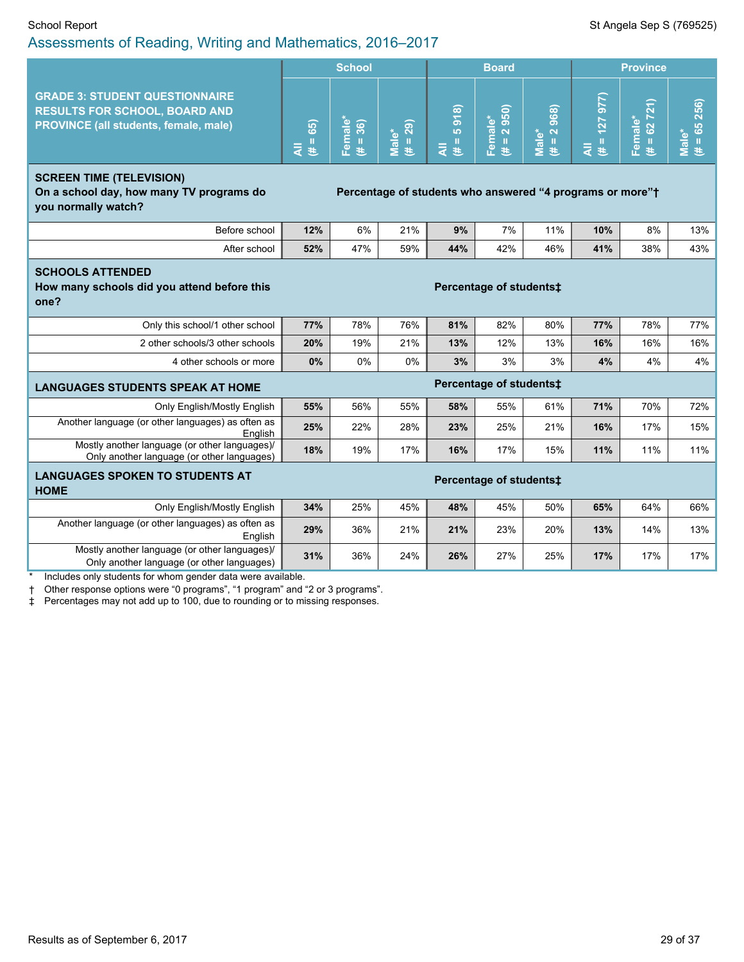|                                                                                                                        |                           | <b>School</b>                       |                          |                                                        | <b>Board</b>                                                          |                                                                      | <b>Province</b>               |                        |                                |
|------------------------------------------------------------------------------------------------------------------------|---------------------------|-------------------------------------|--------------------------|--------------------------------------------------------|-----------------------------------------------------------------------|----------------------------------------------------------------------|-------------------------------|------------------------|--------------------------------|
| <b>GRADE 3: STUDENT QUESTIONNAIRE</b><br><b>RESULTS FOR SCHOOL, BOARD AND</b><br>PROVINCE (all students, female, male) | 65)<br>$\rm II$<br>₹<br>巷 | Female*<br>36)<br>$\mathbf{H}$<br>巷 | <b>Male*</b><br>(# = 29) | 918<br>io.<br>$\mathbf{I}\mathbf{I}$<br>$\bar{z}$<br>巷 | $= 2950$<br>Female*<br>巷                                              | 968)<br>$\overline{\mathbf{N}}$<br>Male <sup>*</sup><br>$\rm H$<br>巷 | (127977)<br>$\rm H$<br>₹<br>巷 | $# = 62721$<br>Female* | $(\vec{r} = 65\ 256)$<br>Male* |
| <b>SCREEN TIME (TELEVISION)</b><br>On a school day, how many TV programs do<br>you normally watch?                     |                           |                                     |                          |                                                        | Percentage of students who answered "4 programs or more" <sup>+</sup> |                                                                      |                               |                        |                                |
| Before school                                                                                                          | 12%                       | 6%                                  | 21%                      | 9%                                                     | 7%                                                                    | 11%                                                                  | 10%                           | 8%                     | 13%                            |
| After school                                                                                                           | 52%                       | 47%                                 | 59%                      | 44%                                                    | 42%                                                                   | 46%                                                                  | 41%                           | 38%                    | 43%                            |
| <b>SCHOOLS ATTENDED</b><br>How many schools did you attend before this<br>one?                                         | Percentage of students‡   |                                     |                          |                                                        |                                                                       |                                                                      |                               |                        |                                |
| Only this school/1 other school                                                                                        | 77%                       | 78%                                 | 76%                      | 81%                                                    | 82%                                                                   | 80%                                                                  | 77%                           | 78%                    | 77%                            |
| 2 other schools/3 other schools                                                                                        | 20%                       | 19%                                 | 21%                      | 13%                                                    | 12%                                                                   | 13%                                                                  | 16%                           | 16%                    | 16%                            |
| 4 other schools or more                                                                                                | 0%                        | 0%                                  | 0%                       | 3%                                                     | 3%                                                                    | 3%                                                                   | 4%                            | 4%                     | 4%                             |
| <b>LANGUAGES STUDENTS SPEAK AT HOME</b>                                                                                |                           |                                     |                          |                                                        | Percentage of students‡                                               |                                                                      |                               |                        |                                |
| Only English/Mostly English                                                                                            | 55%                       | 56%                                 | 55%                      | 58%                                                    | 55%                                                                   | 61%                                                                  | 71%                           | 70%                    | 72%                            |
| Another language (or other languages) as often as<br>English                                                           | 25%                       | 22%                                 | 28%                      | 23%                                                    | 25%                                                                   | 21%                                                                  | 16%                           | 17%                    | 15%                            |
| Mostly another language (or other languages)/<br>Only another language (or other languages)                            | 18%                       | 19%                                 | 17%                      | 16%                                                    | 17%                                                                   | 15%                                                                  | 11%                           | 11%                    | 11%                            |
| <b>LANGUAGES SPOKEN TO STUDENTS AT</b><br><b>HOME</b>                                                                  |                           |                                     |                          |                                                        | Percentage of students‡                                               |                                                                      |                               |                        |                                |
| Only English/Mostly English                                                                                            | 34%                       | 25%                                 | 45%                      | 48%                                                    | 45%                                                                   | 50%                                                                  | 65%                           | 64%                    | 66%                            |
| Another language (or other languages) as often as<br>English                                                           | 29%                       | 36%                                 | 21%                      | 21%                                                    | 23%                                                                   | 20%                                                                  | 13%                           | 14%                    | 13%                            |
| Mostly another language (or other languages)/<br>Only another language (or other languages)                            | 31%                       | 36%                                 | 24%                      | 26%                                                    | 27%                                                                   | 25%                                                                  | 17%                           | 17%                    | 17%                            |

Includes only students for whom gender data were available.

† Other response options were "0 programs", "1 program" and "2 or 3 programs".

‡ Percentages may not add up to 100, due to rounding or to missing responses.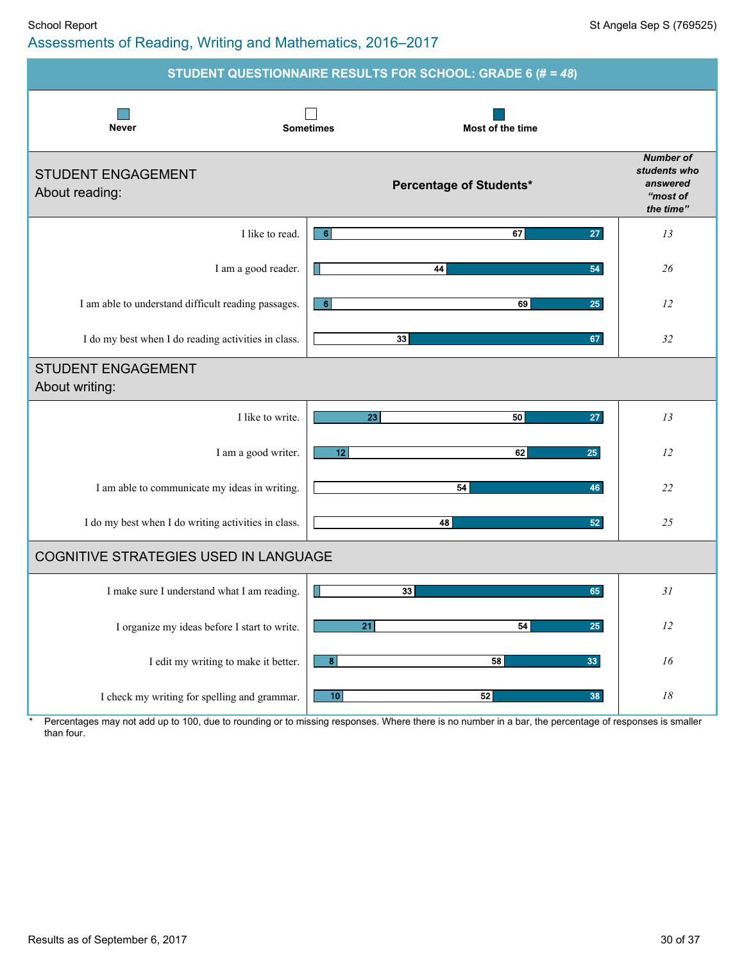#### School Report School Report St Angela Sep S (769525) Assessments of Reading, Writing and Mathematics, 2016–2017

|                                                     | STUDENT QUESTIONNAIRE RESULTS FOR SCHOOL: GRADE 6 (# = 48) |                                                                       |
|-----------------------------------------------------|------------------------------------------------------------|-----------------------------------------------------------------------|
| <b>Never</b>                                        | <b>Sometimes</b><br>Most of the time                       |                                                                       |
| <b>STUDENT ENGAGEMENT</b><br>About reading:         | <b>Percentage of Students*</b>                             | <b>Number of</b><br>students who<br>answered<br>"most of<br>the time" |
| I like to read.                                     | 6<br>67<br>27                                              | 13                                                                    |
| I am a good reader.                                 | 54<br>44                                                   | 26                                                                    |
| I am able to understand difficult reading passages. | 6<br>69<br>25                                              | 12                                                                    |
| I do my best when I do reading activities in class. | 33<br>67                                                   | 32                                                                    |
| <b>STUDENT ENGAGEMENT</b><br>About writing:         |                                                            |                                                                       |
| I like to write.                                    | 23<br>50<br>27                                             | 13                                                                    |
| I am a good writer.                                 | 12<br>62<br>25                                             | 12                                                                    |
| I am able to communicate my ideas in writing.       | 54<br>46                                                   | 22                                                                    |
| I do my best when I do writing activities in class. | 48<br>52                                                   | 25                                                                    |
| COGNITIVE STRATEGIES USED IN LANGUAGE               |                                                            |                                                                       |
| I make sure I understand what I am reading.         | 33<br>65                                                   | 31                                                                    |
| I organize my ideas before I start to write.        | $\overline{21}$<br>54<br>25                                | 12                                                                    |
| I edit my writing to make it better.                | $\boldsymbol{8}$<br>58<br>33                               | 16                                                                    |
| I check my writing for spelling and grammar.        | 10<br>52<br>38                                             | $18\,$                                                                |

\* Percentages may not add up to 100, due to rounding or to missing responses. Where there is no number in a bar, the percentage of responses is smaller than four.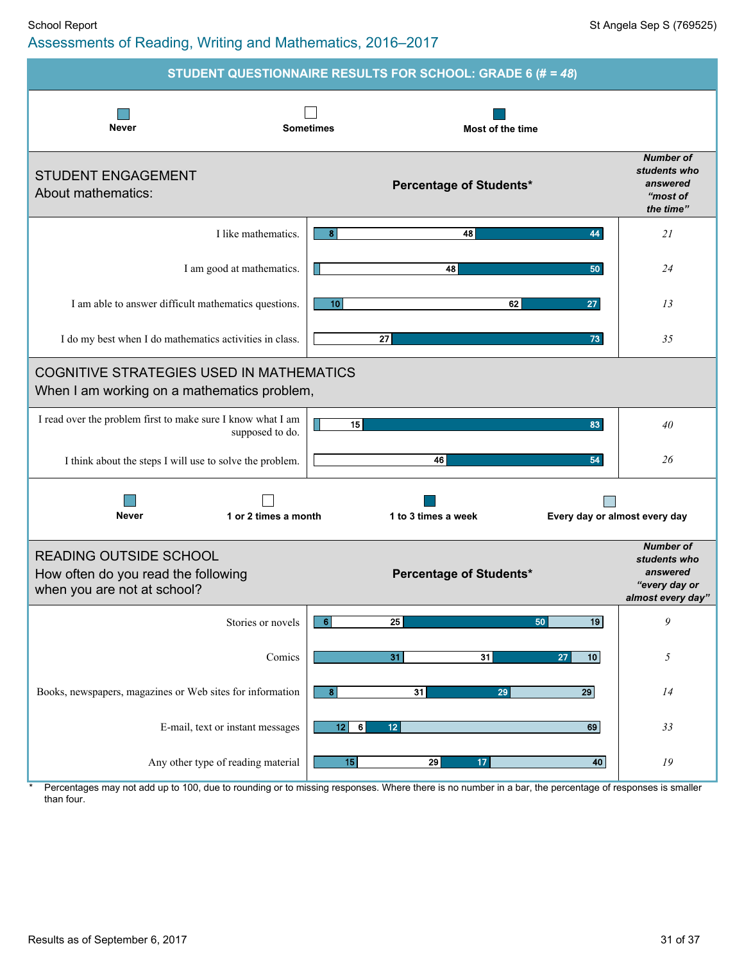#### School Report School Report St Angela Sep S (769525) Assessments of Reading, Writing and Mathematics, 2016–2017

|                                                                                                     | STUDENT QUESTIONNAIRE RESULTS FOR SCHOOL: GRADE 6 (# = 48) |                                                                                    |
|-----------------------------------------------------------------------------------------------------|------------------------------------------------------------|------------------------------------------------------------------------------------|
| <b>Never</b>                                                                                        | <b>Sometimes</b><br>Most of the time                       |                                                                                    |
| <b>STUDENT ENGAGEMENT</b><br>About mathematics:                                                     | <b>Percentage of Students*</b>                             | <b>Number of</b><br>students who<br>answered<br>"most of<br>the time"              |
| I like mathematics.                                                                                 | 44<br>8<br>48                                              | 21                                                                                 |
| I am good at mathematics.                                                                           | 48<br>50                                                   | 24                                                                                 |
| I am able to answer difficult mathematics questions.                                                | 62<br>27<br>10 <sup>1</sup>                                | 13                                                                                 |
| I do my best when I do mathematics activities in class.                                             | 27<br>73                                                   | 35                                                                                 |
| <b>COGNITIVE STRATEGIES USED IN MATHEMATICS</b><br>When I am working on a mathematics problem,      |                                                            |                                                                                    |
| I read over the problem first to make sure I know what I am<br>supposed to do.                      | 15<br>83                                                   | 40                                                                                 |
| I think about the steps I will use to solve the problem.                                            | 46<br>54                                                   | 26                                                                                 |
| <b>Never</b><br>1 or 2 times a month                                                                | 1 to 3 times a week                                        | Every day or almost every day                                                      |
| <b>READING OUTSIDE SCHOOL</b><br>How often do you read the following<br>when you are not at school? | <b>Percentage of Students*</b>                             | <b>Number of</b><br>students who<br>answered<br>"every day or<br>almost every day" |
| Stories or novels                                                                                   | 6<br>25<br>50<br>19                                        | 9                                                                                  |
| Comics                                                                                              | 31<br>31<br>10<br>27                                       | 5                                                                                  |
| Books, newspapers, magazines or Web sites for information                                           | 31<br>$\overline{29}$<br>8 <sup>1</sup><br>29              | 14                                                                                 |
| E-mail, text or instant messages                                                                    | $\bf 6$<br>69<br>12<br>12 <sub>2</sub>                     | 33                                                                                 |
| Any other type of reading material                                                                  | 15<br>29<br>40<br>17                                       | 19                                                                                 |

Percentages may not add up to 100, due to rounding or to missing responses. Where there is no number in a bar, the percentage of responses is smaller than four.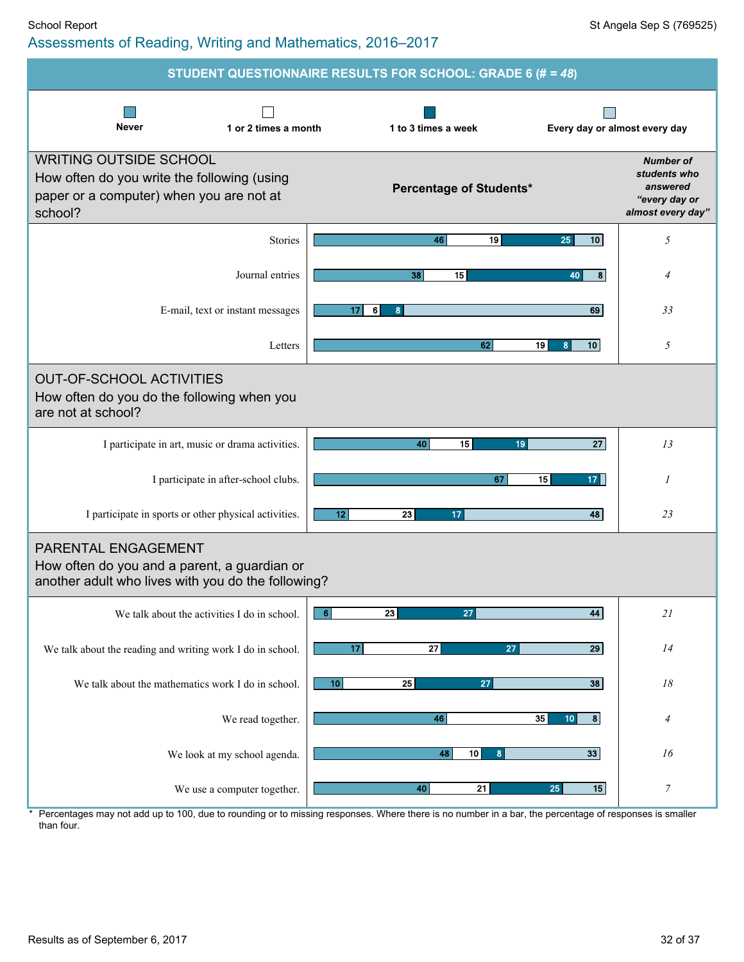**STUDENT QUESTIONNAIRE RESULTS FOR SCHOOL: GRADE 6 (#** *= 48***)**  $\mathcal{L}_{\mathcal{A}}$ П  $\Box$ **Never 1 or 2 times a month 1 to 3 times a weekEvery day or almost every day** WRITING OUTSIDE SCHOOL *Number of students who* How often do you write the following (using *answered* **Percentage of Students\*** paper or a computer) when you are not at *"every day or* school? *almost every day"* Stories **46 19 25 10** *5* Journal entries **38 15 40 8** *4* E-mail, text or instant messages **17 6 8 69** *33* Letters **62 19 8 10** *5* OUT-OF-SCHOOL ACTIVITIES How often do you do the following when you are not at school? I participate in art, music or drama activities. **40 15 19 27** *13* I participate in after-school clubs. **67 15 17** *1* I participate in sports or other physical activities. **12 23 17 48** *23* PARENTAL ENGAGEMENT How often do you and a parent, a guardian or another adult who lives with you do the following? We talk about the activities I do in school.  $\begin{bmatrix} 6 \\ 23 \end{bmatrix}$  **27 27 44 21** We talk about the reading and writing work I do in school. **17 27 27 29** *14* We talk about the mathematics work I do in school. **10 25 27 27 38 18** We read together. **46 35 10 8** *4* We look at my school agenda. **48 10 8 33** *16*

Percentages may not add up to 100, due to rounding or to missing responses. Where there is no number in a bar, the percentage of responses is smaller than four.

We use a computer together. **40 21 25 15** *7*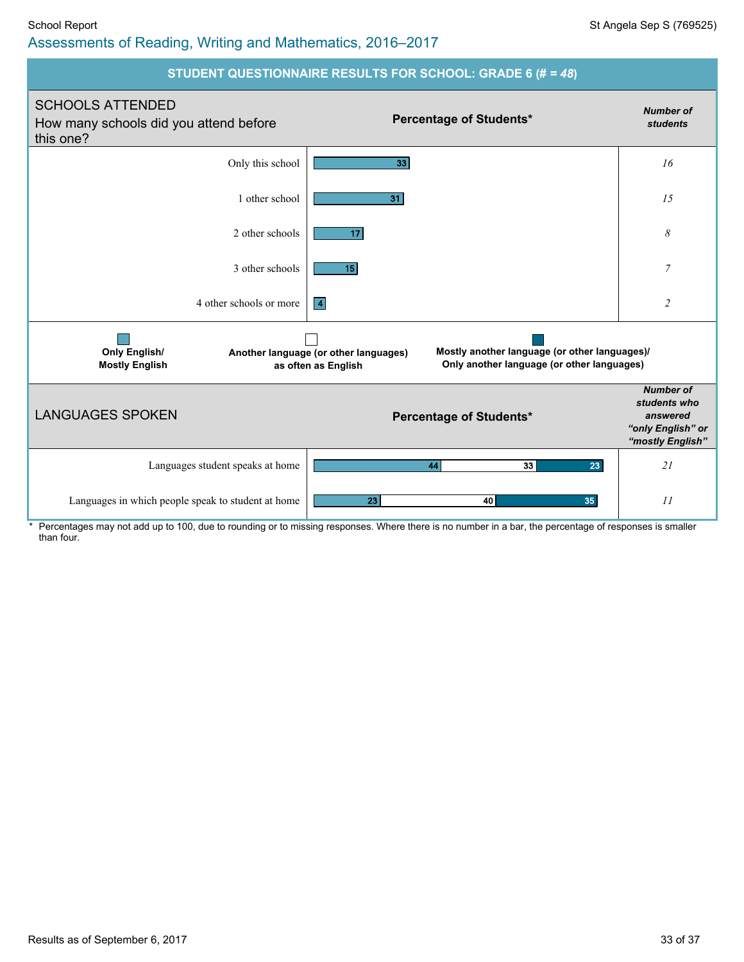#### School Report Standard Sep S (769525) Assessments of Reading, Writing and Mathematics, 2016–2017



Percentages may not add up to 100, due to rounding or to missing responses. Where there is no number in a bar, the percentage of responses is smaller than four.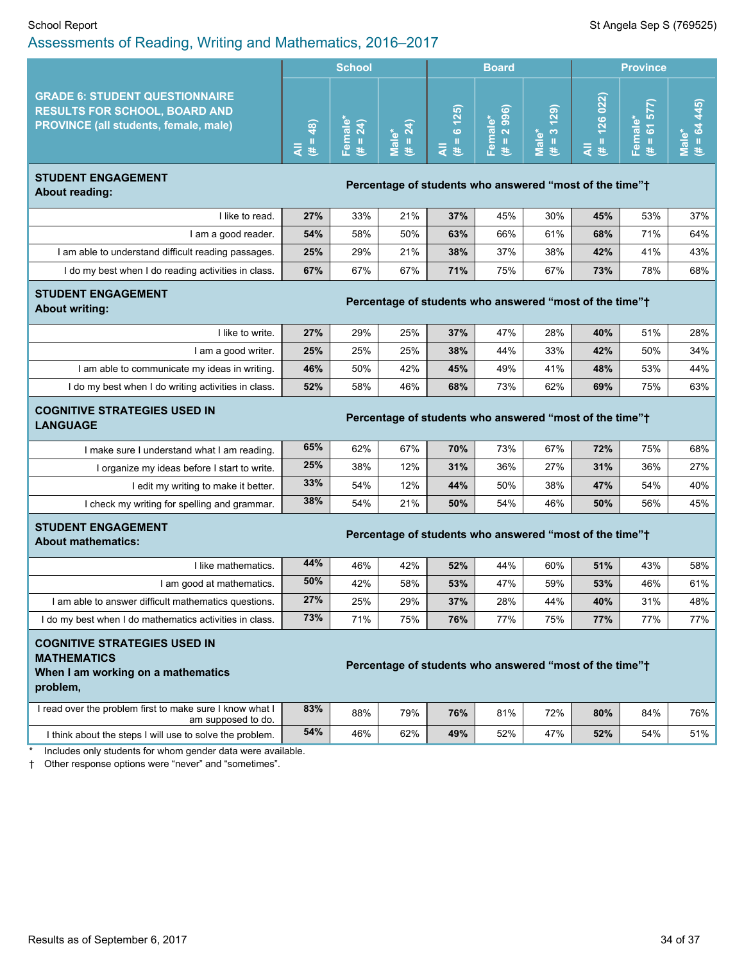|                                                                                                                               | <b>School</b>               |                         |                                 | <b>Board</b> |                                          |                             | <b>Province</b>         |                                    |                         |
|-------------------------------------------------------------------------------------------------------------------------------|-----------------------------|-------------------------|---------------------------------|--------------|------------------------------------------|-----------------------------|-------------------------|------------------------------------|-------------------------|
| <b>GRADE 6: STUDENT QUESTIONNAIRE</b><br><b>RESULTS FOR SCHOOL, BOARD AND</b><br><b>PROVINCE (all students, female, male)</b> | $\widehat{a}$<br>خنالا<br>⋖ | ∍<br>a<br>$\sigma$<br>a | $\mathbf{\tilde{N}}$<br>î۵<br>ಕ | (25)<br>ശ    | ര<br>െ<br>െ<br>IO)<br>$\pi$ $\sim$<br>u. | ெ<br>Ñ<br>*ౖ ෆ<br>$\bar{a}$ | 022)<br>26<br>巷<br>ra i | R<br>ю<br>٠ı<br>- 66<br>los.<br>G) | $\overline{\mathbf{e}}$ |

#### **STUDENT ENGAGEMENT About reading: Percentage** of students who answered "most of the time"<sup>+</sup> About reading:

| I like to read.                                     | 27% | 33% | 21% | 37% | 45% | 30% | 45% | 53% | 37% |
|-----------------------------------------------------|-----|-----|-----|-----|-----|-----|-----|-----|-----|
| I am a good reader.                                 | 54% | 58% | 50% | 63% | 66% | 61% | 68% | 71% | 64% |
| I am able to understand difficult reading passages. | 25% | 29% | 21% | 38% | 37% | 38% | 42% | 41% | 43% |
| I do my best when I do reading activities in class. | 67% | 67% | 67% | 71% | 75% | 67% | 73% | 78% | 68% |

#### **STUDENT ENGAGEMENT**

**About** writing: **About** writing: **About** writing:

| I like to write.                                    | 27% | 29% | 25% | 37% | 47% | 28% | 40% | 51% | 28% |
|-----------------------------------------------------|-----|-----|-----|-----|-----|-----|-----|-----|-----|
| I am a good writer.                                 | 25% | 25% | 25% | 38% | 44% | 33% | 42% | 50% | 34% |
| I am able to communicate my ideas in writing.       | 46% | 50% | 42% | 45% | 49% | 41% | 48% | 53% | 44% |
| I do my best when I do writing activities in class. | 52% | 58% | 46% | 68% | 73% | 62% | 69% | 75% | 63% |
|                                                     |     |     |     |     |     |     |     |     |     |

# **COGNITIVE STRATEGIES USED IN**

### **LANGUAGE Percentage** of students who answered "most of the time"<sup>+</sup><br>LANGUAGE

| I make sure I understand what I am reading.  | 65% | 62% | 67% | 70% | 73% | 67% | 72% | 75% | 68% |
|----------------------------------------------|-----|-----|-----|-----|-----|-----|-----|-----|-----|
| I organize my ideas before I start to write. | 25% | 38% | 12% | 31% | 36% | 27% | 31% | 36% | 27% |
| l edit my writing to make it better.         | 33% | 54% | 12% | 44% | 50% | 38% | 47% | 54% | 40% |
| I check my writing for spelling and grammar. | 38% | 54% | 21% | 50% | 54% | 46% | 50% | 56% | 45% |

# **STUDENT ENGAGEMENT**

# **About** mathematics: *Percentage* of students who answered "most of the time"<sup>+</sup> About mathematics:

| I like mathematics.                                     | 44% | 46% | 42% | 52% | 44% | 60% | 51% | 43% | 58% |
|---------------------------------------------------------|-----|-----|-----|-----|-----|-----|-----|-----|-----|
| am good at mathematics.                                 | 50% | 42% | 58% | 53% | 47% | 59% | 53% | 46% | 61% |
| I am able to answer difficult mathematics questions.    | 27% | 25% | 29% | 37% | 28% | 44% | 40% | 31% | 48% |
| I do my best when I do mathematics activities in class. | 73% | 71% | 75% | 76% | 77% | 75% | 77% | 77% | 77% |

### **COGNITIVE STRATEGIES USED IN MATHEMATICS When I am working on a mathematics**

#### **Percentage of students who answered "most of the time"** $\dagger$

**problem,**

| I read over the problem first to make sure I know what I<br>am supposed to do. | 83% | 88% | 79% | 76% | 81% | 72% | 80% | 84% | 76% |
|--------------------------------------------------------------------------------|-----|-----|-----|-----|-----|-----|-----|-----|-----|
| I think about the steps I will use to solve the problem.                       | 54% | 46% | 62% | 49% | 52% | 47% | 52% | 54% | 51% |

Includes only students for whom gender data were available.

† Other response options were "never" and "sometimes".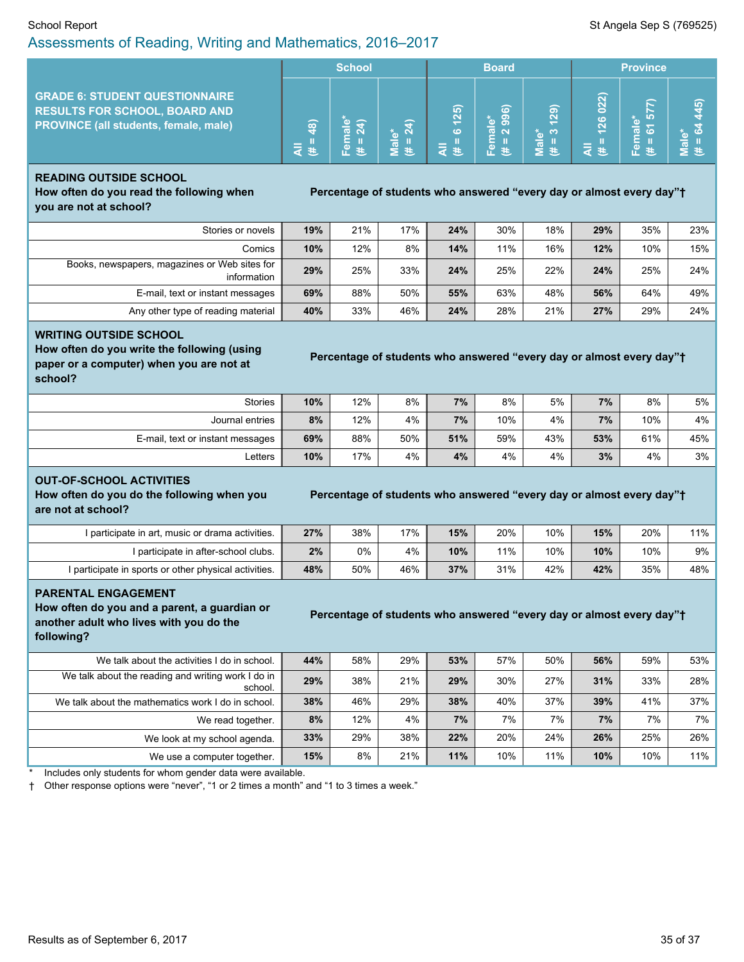#### School Report Standard Sep S (769525) Assessments of Reading, Writing and Mathematics, 2016–2017

|                                                                                                                               | <b>School</b> |         |                                  | <b>Board</b> |                                      |                     | <b>Province</b> |        |  |
|-------------------------------------------------------------------------------------------------------------------------------|---------------|---------|----------------------------------|--------------|--------------------------------------|---------------------|-----------------|--------|--|
| <b>GRADE 6: STUDENT QUESTIONNAIRE</b><br><b>RESULTS FOR SCHOOL, BOARD AND</b><br><b>PROVINCE (all students, female, male)</b> | $\widehat{a}$ | ≏<br>σ. | $\mathbf{\tilde{c}}$<br>$\omega$ | 125)<br>ശ    | ൟ<br>စာ<br>Ф<br>െ<br>$\sigma$ $\sim$ | ெ<br>N<br>( လ)<br>ಸ | 022)<br>126     | ᠆<br>w |  |

#### **READING OUTSIDE SCHOOL How often do you read the following when**

**Percentage** of students who answered "every day or almost every day"<sup>+</sup>

**you are not at school?**

| Stories or novels                                            | 19% | 21% | 17% | 24% | 30% | 18% | 29% | 35% | 23% |
|--------------------------------------------------------------|-----|-----|-----|-----|-----|-----|-----|-----|-----|
| Comics                                                       | 10% | 12% | 8%  | 14% | 11% | 16% | 12% | 10% | 15% |
| Books, newspapers, magazines or Web sites for<br>information | 29% | 25% | 33% | 24% | 25% | 22% | 24% | 25% | 24% |
| E-mail, text or instant messages                             | 69% | 88% | 50% | 55% | 63% | 48% | 56% | 64% | 49% |
| Any other type of reading material                           | 40% | 33% | 46% | 24% | 28% | 21% | 27% | 29% | 24% |

#### **WRITING OUTSIDE SCHOOL**

**How often do you write the following (using paper or a computer) when you are not at school?**

| Percentage of students who answered "every day or almost every day"† |  |  |
|----------------------------------------------------------------------|--|--|
|                                                                      |  |  |

| Stories                          | 10% | 12% | 8%  | 7%  | 8%  | 5%  | 7%  | 8%  | $5\%$ |
|----------------------------------|-----|-----|-----|-----|-----|-----|-----|-----|-------|
| Journal entries                  | 8%  | 12% | 4%  | 7%  | 10% | 4%  | 7%  | 10% | 4%    |
| E-mail, text or instant messages | 69% | 88% | 50% | 51% | 59% | 43% | 53% | 61% | 45%   |
| ∟etters                          | 10% | 17% | 4%  | 4%  | 4%  | 4%  | 3%  | 4%  | 3%    |

#### **OUT-OF-SCHOOL ACTIVITIES**

**How often do you do the following when you are not at school?**

#### **Percentage of students who answered "every day or almost every day"<sup>+</sup>**

I participate in art, music or drama activities. **27%** 38% 17% **15%** 20% 10% **15%** 20% 11% I participate in after-school clubs. **2%** 0% 4% **10%** 11% 10% **10%** 10% 9% I participate in sports or other physical activities. **48%** 50% 46% **37%** 31% 42% **42%** 35% 48%

#### **PARENTAL ENGAGEMENT**

**How often do you and a parent, a guardian or another adult who lives with you do the following?**

#### **Percentage of students who answered "every day or almost every day"<sup>+</sup>**

| We talk about the activities I do in school.                  | 44% | 58% | 29% | 53% | 57% | 50% | 56% | 59% | $53\%$ |
|---------------------------------------------------------------|-----|-----|-----|-----|-----|-----|-----|-----|--------|
| We talk about the reading and writing work I do in<br>school. | 29% | 38% | 21% | 29% | 30% | 27% | 31% | 33% | $28\%$ |
| We talk about the mathematics work I do in school.            | 38% | 46% | 29% | 38% | 40% | 37% | 39% | 41% | $37\%$ |
| We read together.                                             | 8%  | 12% | 4%  | 7%  | 7%  | 7%  | 7%  | 7%  | $7\%$  |
| We look at my school agenda.                                  | 33% | 29% | 38% | 22% | 20% | 24% | 26% | 25% | $26\%$ |
| We use a computer together.                                   | 15% | 8%  | 21% | 11% | 10% | 11% | 10% | 10% | $11\%$ |

Includes only students for whom gender data were available.

† Other response options were "never", "1 or 2 times a month" and "1 to 3 times a week."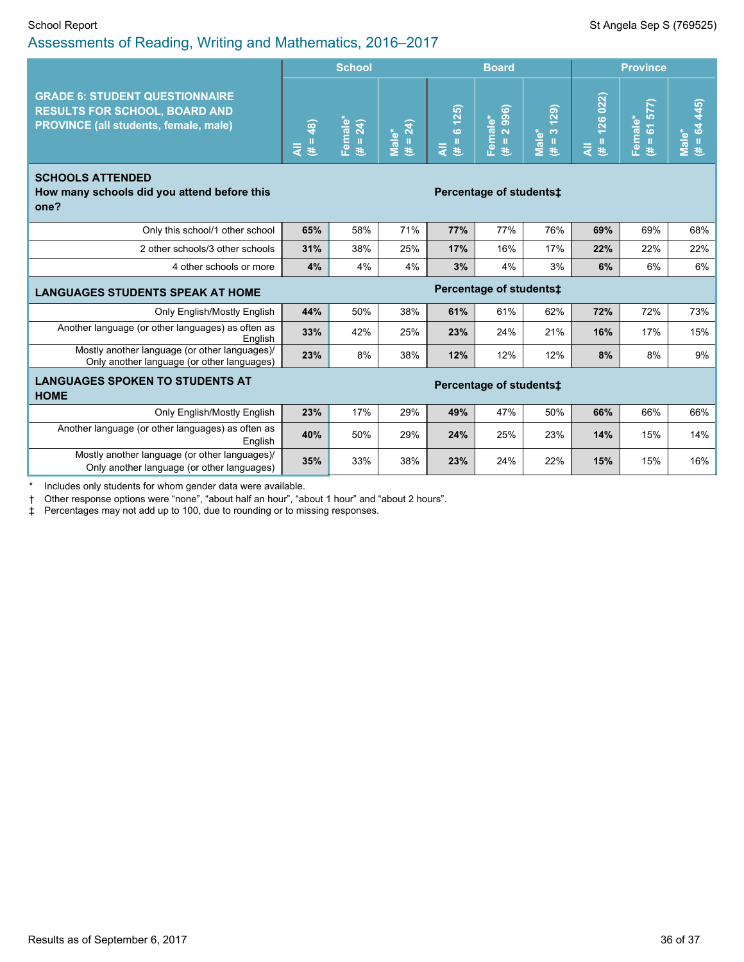|                                                                                                                        | <b>School</b><br><b>Board</b> |                     |                   |                                 |                                        |                                             | <b>Province</b>                          |                        |                      |  |
|------------------------------------------------------------------------------------------------------------------------|-------------------------------|---------------------|-------------------|---------------------------------|----------------------------------------|---------------------------------------------|------------------------------------------|------------------------|----------------------|--|
| <b>GRADE 6: STUDENT QUESTIONNAIRE</b><br><b>RESULTS FOR SCHOOL, BOARD AND</b><br>PROVINCE (all students, female, male) | $# = 48$                      | Female*<br>(# = 24) | Male*<br>(# = 24) | 6125<br>$\mathbf{II}$<br>₹<br>巷 | 2 996)<br>Female*<br>$\mathbf{H}$<br>巷 | (621)<br>$\frac{1}{\sqrt{2}}$<br>Male*<br>巷 | 126022<br>$\mathbf{H}$<br>$\bar{z}$<br>巷 | $# = 61577$<br>Female* | $# = 64445$<br>Male* |  |
| <b>SCHOOLS ATTENDED</b><br>How many schools did you attend before this<br>one?                                         |                               |                     |                   |                                 | Percentage of students:                |                                             |                                          |                        |                      |  |
| Only this school/1 other school                                                                                        | 65%                           | 58%                 | 71%               | 77%                             | 77%                                    | 76%                                         | 69%                                      | 69%                    | 68%                  |  |
| 2 other schools/3 other schools                                                                                        | 31%                           | 38%                 | 25%               | 17%                             | 16%                                    | 17%                                         | 22%                                      | 22%                    | 22%                  |  |
| 4 other schools or more                                                                                                | 4%                            | 4%                  | 4%                | 3%                              | 4%                                     | 3%                                          | 6%                                       | 6%                     | 6%                   |  |
| <b>LANGUAGES STUDENTS SPEAK AT HOME</b>                                                                                |                               |                     |                   |                                 | Percentage of students‡                |                                             |                                          |                        |                      |  |
| Only English/Mostly English                                                                                            | 44%                           | 50%                 | 38%               | 61%                             | 61%                                    | 62%                                         | 72%                                      | 72%                    | 73%                  |  |
| Another language (or other languages) as often as<br>English                                                           | 33%                           | 42%                 | 25%               | 23%                             | 24%                                    | 21%                                         | 16%                                      | 17%                    | 15%                  |  |
| Mostly another language (or other languages)/<br>Only another language (or other languages)                            | 23%                           | 8%                  | 38%               | 12%                             | 12%                                    | 12%                                         | 8%                                       | 8%                     | 9%                   |  |
| <b>LANGUAGES SPOKEN TO STUDENTS AT</b><br><b>HOME</b>                                                                  |                               |                     |                   |                                 | Percentage of students‡                |                                             |                                          |                        |                      |  |
| Only English/Mostly English                                                                                            | 23%                           | 17%                 | 29%               | 49%                             | 47%                                    | 50%                                         | 66%                                      | 66%                    | 66%                  |  |
| Another language (or other languages) as often as<br>English                                                           | 40%                           | 50%                 | 29%               | 24%                             | 25%                                    | 23%                                         | 14%                                      | 15%                    | 14%                  |  |
| Mostly another language (or other languages)/<br>Only another language (or other languages)                            | 35%                           | 33%                 | 38%               | 23%                             | 24%                                    | 22%                                         | 15%                                      | 15%                    | 16%                  |  |
| Includes only students for whom gender data were available.                                                            |                               |                     |                   |                                 |                                        |                                             |                                          |                        |                      |  |

† Other response options were "none", "about half an hour", "about 1 hour" and "about 2 hours".

‡ Percentages may not add up to 100, due to rounding or to missing responses.